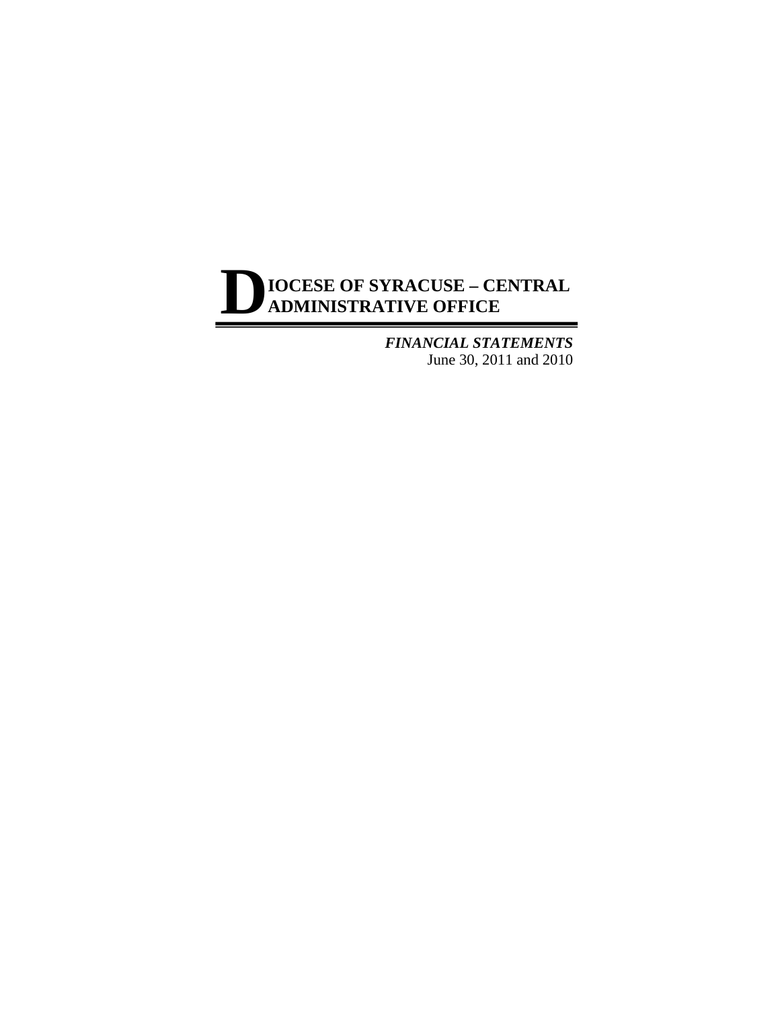*FINANCIAL STATEMENTS* June 30, 2011 and 2010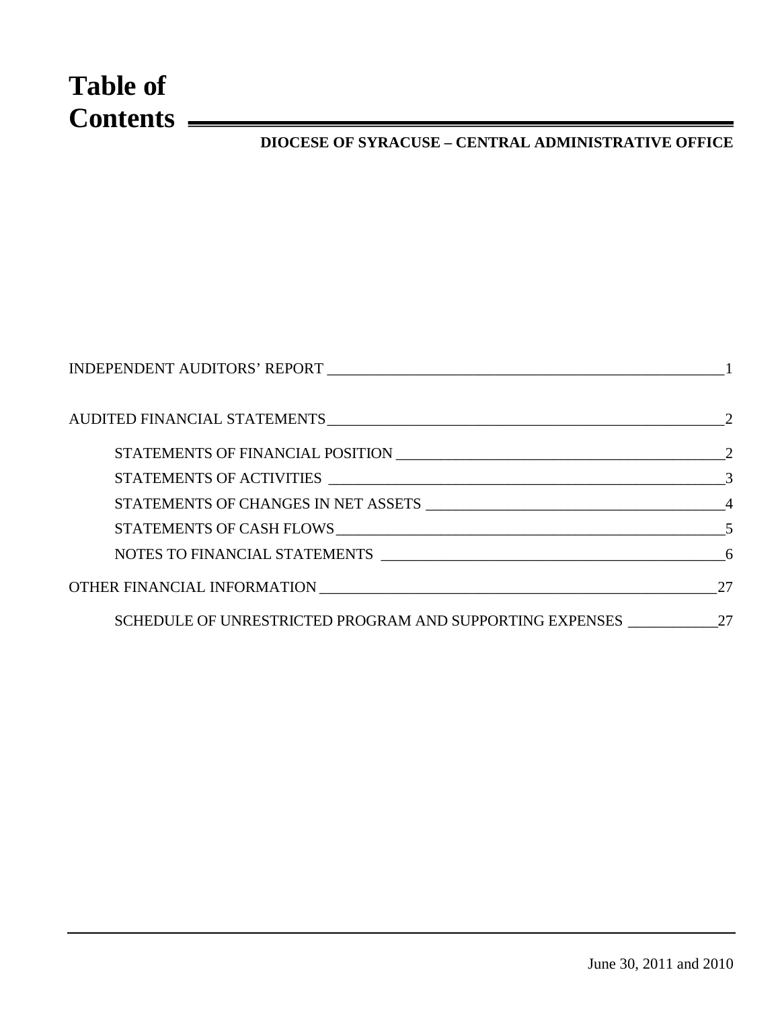# **Table of Contents**

## **DIOCESE OF SYRACUSE – CENTRAL ADMINISTRATIVE OFFICE**

| AUDITED FINANCIAL STATEMENTS 22                             |     |
|-------------------------------------------------------------|-----|
|                                                             |     |
|                                                             |     |
|                                                             |     |
|                                                             |     |
|                                                             |     |
|                                                             | -27 |
| SCHEDULE OF UNRESTRICTED PROGRAM AND SUPPORTING EXPENSES 27 |     |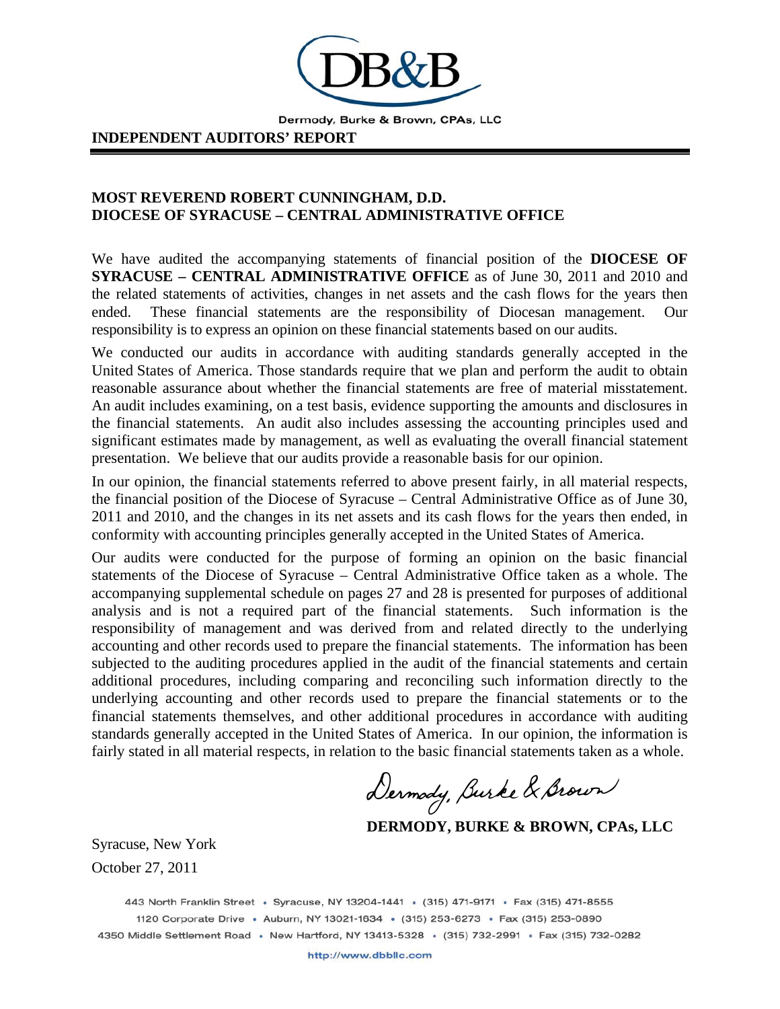

Dermody, Burke & Brown, CPAs, LLC

#### **INDEPENDENT AUDITORS' REPORT**

## **MOST REVEREND ROBERT CUNNINGHAM, D.D. DIOCESE OF SYRACUSE – CENTRAL ADMINISTRATIVE OFFICE**

We have audited the accompanying statements of financial position of the **DIOCESE OF SYRACUSE – CENTRAL ADMINISTRATIVE OFFICE** as of June 30, 2011 and 2010 and the related statements of activities, changes in net assets and the cash flows for the years then ended. These financial statements are the responsibility of Diocesan management. Our responsibility is to express an opinion on these financial statements based on our audits.

We conducted our audits in accordance with auditing standards generally accepted in the United States of America. Those standards require that we plan and perform the audit to obtain reasonable assurance about whether the financial statements are free of material misstatement. An audit includes examining, on a test basis, evidence supporting the amounts and disclosures in the financial statements. An audit also includes assessing the accounting principles used and significant estimates made by management, as well as evaluating the overall financial statement presentation. We believe that our audits provide a reasonable basis for our opinion.

In our opinion, the financial statements referred to above present fairly, in all material respects, the financial position of the Diocese of Syracuse – Central Administrative Office as of June 30, 2011 and 2010, and the changes in its net assets and its cash flows for the years then ended, in conformity with accounting principles generally accepted in the United States of America.

Our audits were conducted for the purpose of forming an opinion on the basic financial statements of the Diocese of Syracuse – Central Administrative Office taken as a whole. The accompanying supplemental schedule on pages 27 and 28 is presented for purposes of additional analysis and is not a required part of the financial statements. Such information is the responsibility of management and was derived from and related directly to the underlying accounting and other records used to prepare the financial statements. The information has been subjected to the auditing procedures applied in the audit of the financial statements and certain additional procedures, including comparing and reconciling such information directly to the underlying accounting and other records used to prepare the financial statements or to the financial statements themselves, and other additional procedures in accordance with auditing standards generally accepted in the United States of America. In our opinion, the information is fairly stated in all material respects, in relation to the basic financial statements taken as a whole.

Dermody, Burke & Brown

 **DERMODY, BURKE & BROWN, CPAs, LLC** 

Syracuse, New York October 27, 2011

443 North Franklin Street · Syracuse, NY 13204-1441 · (315) 471-9171 · Fax (315) 471-8555 1120 Corporate Drive · Auburn, NY 13021-1634 · (315) 253-6273 · Fax (315) 253-0890 4350 Middle Settlement Road · New Hartford, NY 13413-5328 · (315) 732-2991 · Fax (315) 732-0282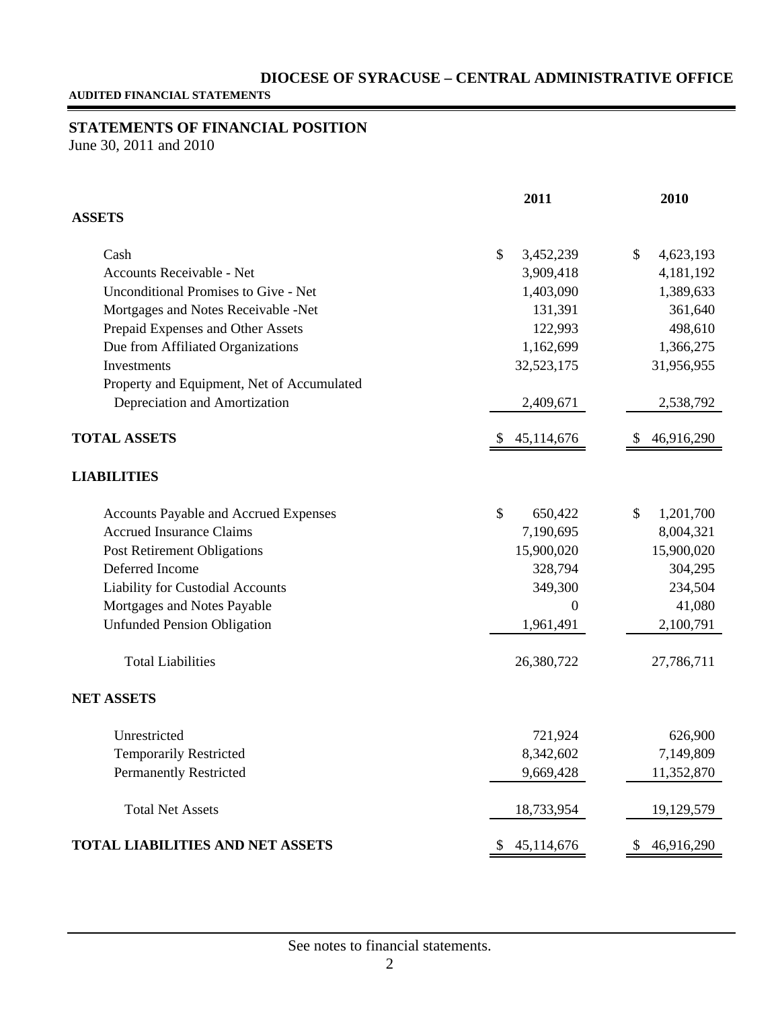**AUDITED FINANCIAL STATEMENTS**

## **STATEMENTS OF FINANCIAL POSITION**

June 30, 2011 and 2010

|                                              | 2011             | 2010             |
|----------------------------------------------|------------------|------------------|
| <b>ASSETS</b>                                |                  |                  |
| Cash                                         | \$<br>3,452,239  | \$<br>4,623,193  |
| Accounts Receivable - Net                    | 3,909,418        | 4,181,192        |
| <b>Unconditional Promises to Give - Net</b>  | 1,403,090        | 1,389,633        |
| Mortgages and Notes Receivable -Net          | 131,391          | 361,640          |
| Prepaid Expenses and Other Assets            | 122,993          | 498,610          |
| Due from Affiliated Organizations            | 1,162,699        | 1,366,275        |
| Investments                                  | 32,523,175       | 31,956,955       |
| Property and Equipment, Net of Accumulated   |                  |                  |
| Depreciation and Amortization                | 2,409,671        | 2,538,792        |
| <b>TOTAL ASSETS</b>                          | 45,114,676<br>\$ | 46,916,290<br>S  |
| <b>LIABILITIES</b>                           |                  |                  |
| <b>Accounts Payable and Accrued Expenses</b> | \$<br>650,422    | \$<br>1,201,700  |
| <b>Accrued Insurance Claims</b>              | 7,190,695        | 8,004,321        |
| Post Retirement Obligations                  | 15,900,020       | 15,900,020       |
| Deferred Income                              | 328,794          | 304,295          |
| Liability for Custodial Accounts             | 349,300          | 234,504          |
| Mortgages and Notes Payable                  | $\overline{0}$   | 41,080           |
| <b>Unfunded Pension Obligation</b>           | 1,961,491        | 2,100,791        |
| <b>Total Liabilities</b>                     | 26,380,722       | 27,786,711       |
| <b>NET ASSETS</b>                            |                  |                  |
| Unrestricted                                 | 721,924          | 626,900          |
| <b>Temporarily Restricted</b>                | 8,342,602        | 7,149,809        |
| <b>Permanently Restricted</b>                | 9,669,428        | 11,352,870       |
| <b>Total Net Assets</b>                      | 18,733,954       | 19,129,579       |
| <b>TOTAL LIABILITIES AND NET ASSETS</b>      | 45,114,676<br>\$ | 46,916,290<br>\$ |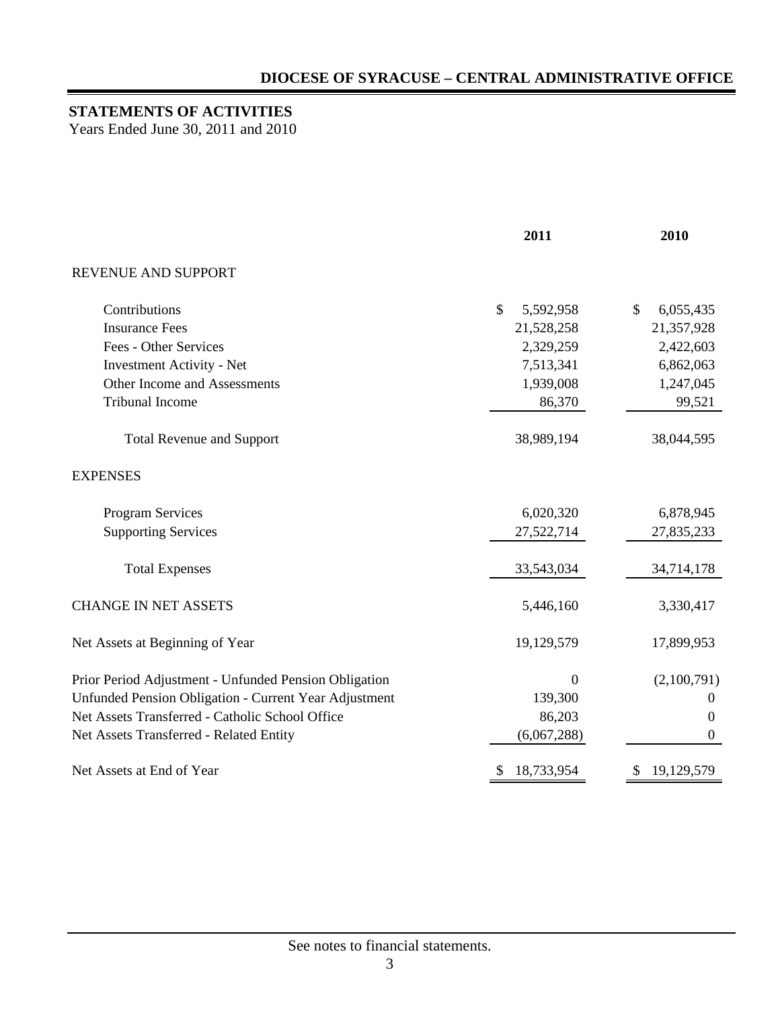## **STATEMENTS OF ACTIVITIES**

Years Ended June 30, 2011 and 2010

|                                                       | 2011             | 2010             |  |
|-------------------------------------------------------|------------------|------------------|--|
| REVENUE AND SUPPORT                                   |                  |                  |  |
| Contributions                                         | \$<br>5,592,958  | \$<br>6,055,435  |  |
| <b>Insurance Fees</b>                                 | 21,528,258       | 21,357,928       |  |
| Fees - Other Services                                 | 2,329,259        | 2,422,603        |  |
| <b>Investment Activity - Net</b>                      | 7,513,341        | 6,862,063        |  |
| Other Income and Assessments                          | 1,939,008        | 1,247,045        |  |
| <b>Tribunal Income</b>                                | 86,370           | 99,521           |  |
| <b>Total Revenue and Support</b>                      | 38,989,194       | 38,044,595       |  |
| <b>EXPENSES</b>                                       |                  |                  |  |
| Program Services                                      | 6,020,320        | 6,878,945        |  |
| <b>Supporting Services</b>                            | 27,522,714       | 27,835,233       |  |
| <b>Total Expenses</b>                                 | 33,543,034       | 34,714,178       |  |
| <b>CHANGE IN NET ASSETS</b>                           | 5,446,160        | 3,330,417        |  |
| Net Assets at Beginning of Year                       | 19,129,579       | 17,899,953       |  |
| Prior Period Adjustment - Unfunded Pension Obligation | $\Omega$         | (2,100,791)      |  |
| Unfunded Pension Obligation - Current Year Adjustment | 139,300          | $\boldsymbol{0}$ |  |
| Net Assets Transferred - Catholic School Office       | 86,203           | $\theta$         |  |
| Net Assets Transferred - Related Entity               | (6,067,288)      | $\theta$         |  |
| Net Assets at End of Year                             | 18,733,954<br>\$ | 19,129,579<br>\$ |  |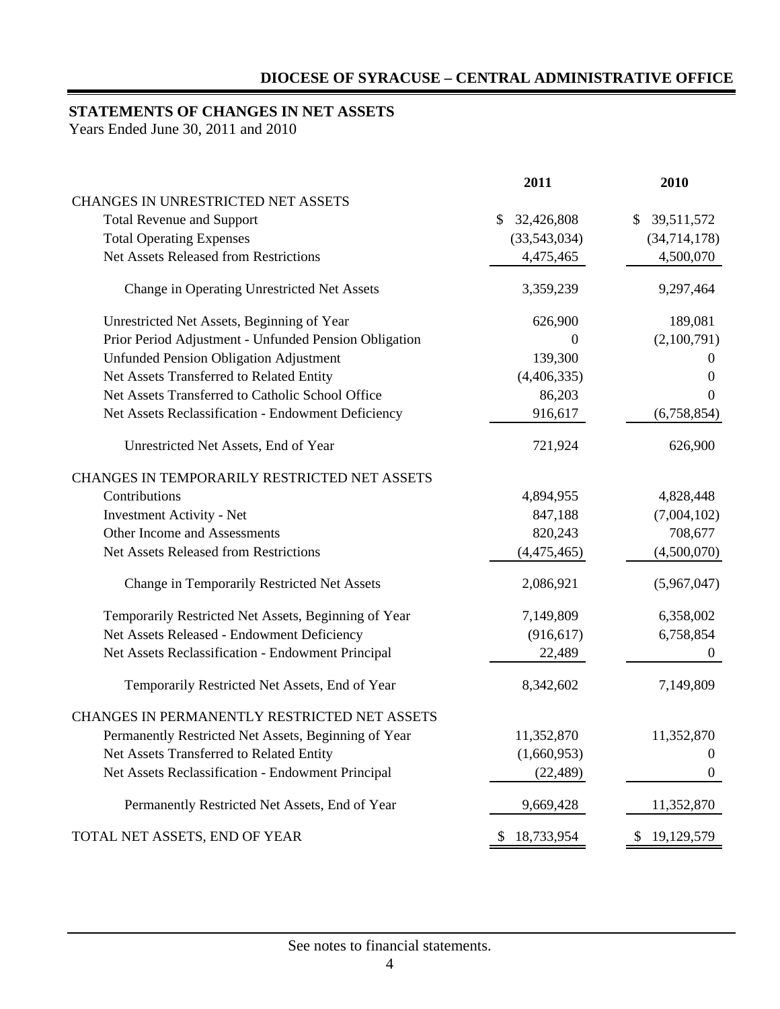## **STATEMENTS OF CHANGES IN NET ASSETS**

Years Ended June 30, 2011 and 2010

|                                                       | 2011             | 2010             |
|-------------------------------------------------------|------------------|------------------|
| CHANGES IN UNRESTRICTED NET ASSETS                    |                  |                  |
| <b>Total Revenue and Support</b>                      | 32,426,808<br>\$ | \$<br>39,511,572 |
| <b>Total Operating Expenses</b>                       | (33,543,034)     | (34, 714, 178)   |
| <b>Net Assets Released from Restrictions</b>          | 4,475,465        | 4,500,070        |
| Change in Operating Unrestricted Net Assets           | 3,359,239        | 9,297,464        |
| Unrestricted Net Assets, Beginning of Year            | 626,900          | 189,081          |
| Prior Period Adjustment - Unfunded Pension Obligation | $\theta$         | (2,100,791)      |
| <b>Unfunded Pension Obligation Adjustment</b>         | 139,300          | $\theta$         |
| Net Assets Transferred to Related Entity              | (4,406,335)      | $\theta$         |
| Net Assets Transferred to Catholic School Office      | 86,203           | $\overline{0}$   |
| Net Assets Reclassification - Endowment Deficiency    | 916,617          | (6,758,854)      |
| Unrestricted Net Assets, End of Year                  | 721,924          | 626,900          |
| CHANGES IN TEMPORARILY RESTRICTED NET ASSETS          |                  |                  |
| Contributions                                         | 4,894,955        | 4,828,448        |
| <b>Investment Activity - Net</b>                      | 847,188          | (7,004,102)      |
| Other Income and Assessments                          | 820,243          | 708,677          |
| <b>Net Assets Released from Restrictions</b>          | (4,475,465)      | (4,500,070)      |
| Change in Temporarily Restricted Net Assets           | 2,086,921        | (5,967,047)      |
| Temporarily Restricted Net Assets, Beginning of Year  | 7,149,809        | 6,358,002        |
| Net Assets Released - Endowment Deficiency            | (916, 617)       | 6,758,854        |
| Net Assets Reclassification - Endowment Principal     | 22,489           | $\theta$         |
| Temporarily Restricted Net Assets, End of Year        | 8,342,602        | 7,149,809        |
| CHANGES IN PERMANENTLY RESTRICTED NET ASSETS          |                  |                  |
| Permanently Restricted Net Assets, Beginning of Year  | 11,352,870       | 11,352,870       |
| Net Assets Transferred to Related Entity              | (1,660,953)      | $\boldsymbol{0}$ |
| Net Assets Reclassification - Endowment Principal     | (22, 489)        | $\boldsymbol{0}$ |
| Permanently Restricted Net Assets, End of Year        | 9,669,428        | 11,352,870       |
| TOTAL NET ASSETS, END OF YEAR                         | 18,733,954<br>\$ | 19,129,579<br>\$ |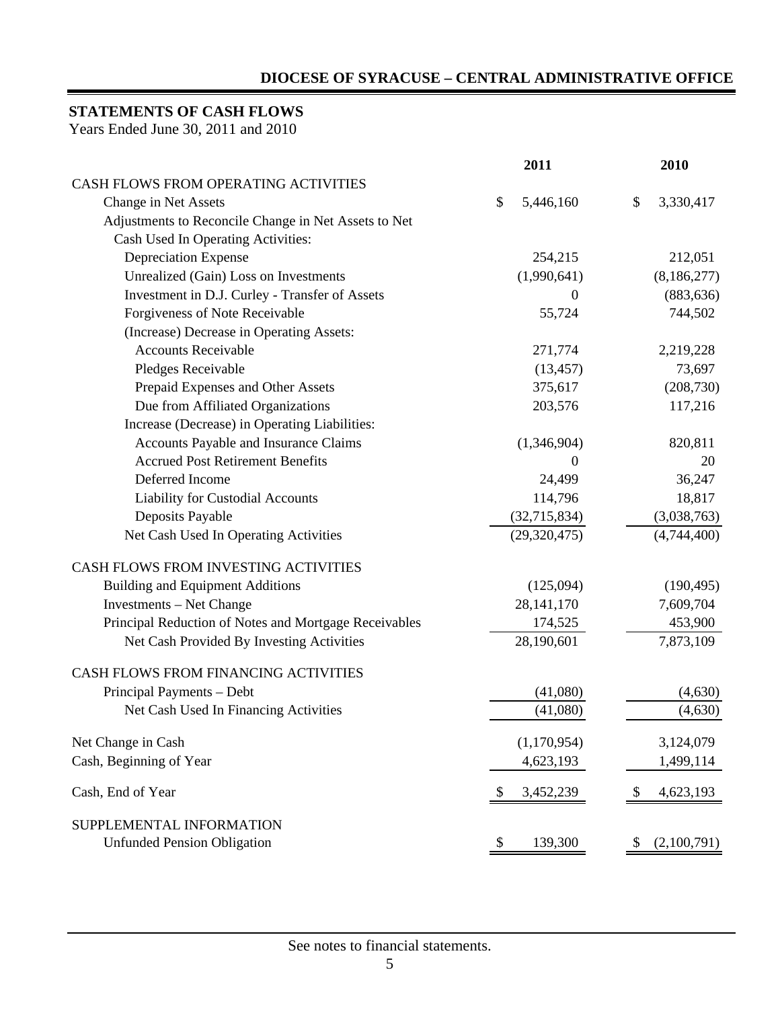## **STATEMENTS OF CASH FLOWS**

Years Ended June 30, 2011 and 2010

|                                                       | 2011            | 2010                         |  |
|-------------------------------------------------------|-----------------|------------------------------|--|
| CASH FLOWS FROM OPERATING ACTIVITIES                  |                 |                              |  |
| Change in Net Assets                                  | \$<br>5,446,160 | 3,330,417<br>\$              |  |
| Adjustments to Reconcile Change in Net Assets to Net  |                 |                              |  |
| Cash Used In Operating Activities:                    |                 |                              |  |
| <b>Depreciation Expense</b>                           | 254,215         | 212,051                      |  |
| Unrealized (Gain) Loss on Investments                 | (1,990,641)     | (8,186,277)                  |  |
| Investment in D.J. Curley - Transfer of Assets        | $\overline{0}$  | (883, 636)                   |  |
| Forgiveness of Note Receivable                        | 55,724          | 744,502                      |  |
| (Increase) Decrease in Operating Assets:              |                 |                              |  |
| <b>Accounts Receivable</b>                            | 271,774         | 2,219,228                    |  |
| Pledges Receivable                                    | (13, 457)       | 73,697                       |  |
| Prepaid Expenses and Other Assets                     | 375,617         | (208, 730)                   |  |
| Due from Affiliated Organizations                     | 203,576         | 117,216                      |  |
| Increase (Decrease) in Operating Liabilities:         |                 |                              |  |
| Accounts Payable and Insurance Claims                 | (1,346,904)     | 820,811                      |  |
| <b>Accrued Post Retirement Benefits</b>               | $\theta$        | 20                           |  |
| Deferred Income                                       | 24,499          | 36,247                       |  |
| Liability for Custodial Accounts                      | 114,796         | 18,817                       |  |
| Deposits Payable                                      | (32,715,834)    | (3,038,763)                  |  |
| Net Cash Used In Operating Activities                 | (29, 320, 475)  | (4,744,400)                  |  |
| CASH FLOWS FROM INVESTING ACTIVITIES                  |                 |                              |  |
| <b>Building and Equipment Additions</b>               | (125,094)       | (190, 495)                   |  |
| <b>Investments</b> – Net Change                       | 28, 141, 170    | 7,609,704                    |  |
| Principal Reduction of Notes and Mortgage Receivables | 174,525         | 453,900                      |  |
| Net Cash Provided By Investing Activities             | 28,190,601      | 7,873,109                    |  |
| CASH FLOWS FROM FINANCING ACTIVITIES                  |                 |                              |  |
| Principal Payments - Debt                             | (41,080)        | (4,630)                      |  |
| Net Cash Used In Financing Activities                 | (41,080)        | (4,630)                      |  |
| Net Change in Cash                                    | (1,170,954)     | 3,124,079                    |  |
| Cash, Beginning of Year                               | 4,623,193       | 1,499,114                    |  |
| Cash, End of Year                                     | 3,452,239<br>\$ | 4,623,193<br>\$              |  |
| SUPPLEMENTAL INFORMATION                              |                 |                              |  |
| <b>Unfunded Pension Obligation</b>                    | 139,300<br>\$   | (2,100,791)<br>$\mathcal{P}$ |  |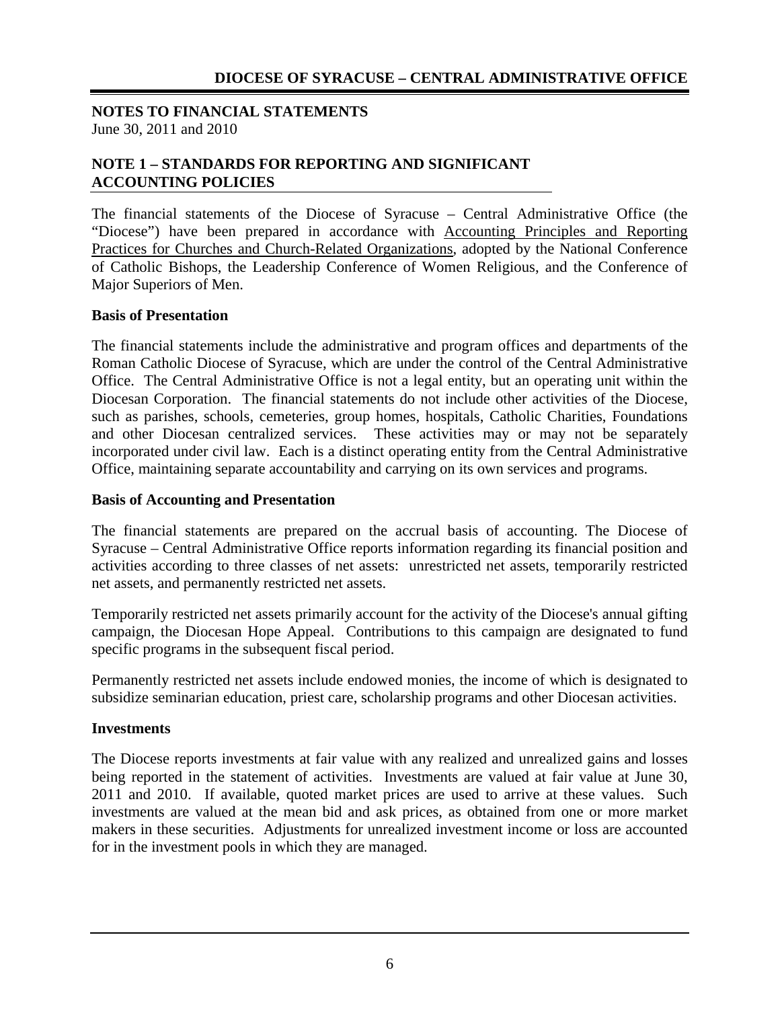**NOTES TO FINANCIAL STATEMENTS** June 30, 2011 and 2010

## **NOTE 1 – STANDARDS FOR REPORTING AND SIGNIFICANT ACCOUNTING POLICIES**

The financial statements of the Diocese of Syracuse – Central Administrative Office (the "Diocese") have been prepared in accordance with Accounting Principles and Reporting Practices for Churches and Church-Related Organizations, adopted by the National Conference of Catholic Bishops, the Leadership Conference of Women Religious, and the Conference of Major Superiors of Men.

#### **Basis of Presentation**

The financial statements include the administrative and program offices and departments of the Roman Catholic Diocese of Syracuse, which are under the control of the Central Administrative Office. The Central Administrative Office is not a legal entity, but an operating unit within the Diocesan Corporation. The financial statements do not include other activities of the Diocese, such as parishes, schools, cemeteries, group homes, hospitals, Catholic Charities, Foundations and other Diocesan centralized services. These activities may or may not be separately incorporated under civil law. Each is a distinct operating entity from the Central Administrative Office, maintaining separate accountability and carrying on its own services and programs.

#### **Basis of Accounting and Presentation**

The financial statements are prepared on the accrual basis of accounting. The Diocese of Syracuse – Central Administrative Office reports information regarding its financial position and activities according to three classes of net assets: unrestricted net assets, temporarily restricted net assets, and permanently restricted net assets.

Temporarily restricted net assets primarily account for the activity of the Diocese's annual gifting campaign, the Diocesan Hope Appeal. Contributions to this campaign are designated to fund specific programs in the subsequent fiscal period.

Permanently restricted net assets include endowed monies, the income of which is designated to subsidize seminarian education, priest care, scholarship programs and other Diocesan activities.

#### **Investments**

The Diocese reports investments at fair value with any realized and unrealized gains and losses being reported in the statement of activities. Investments are valued at fair value at June 30, 2011 and 2010. If available, quoted market prices are used to arrive at these values. Such investments are valued at the mean bid and ask prices, as obtained from one or more market makers in these securities. Adjustments for unrealized investment income or loss are accounted for in the investment pools in which they are managed.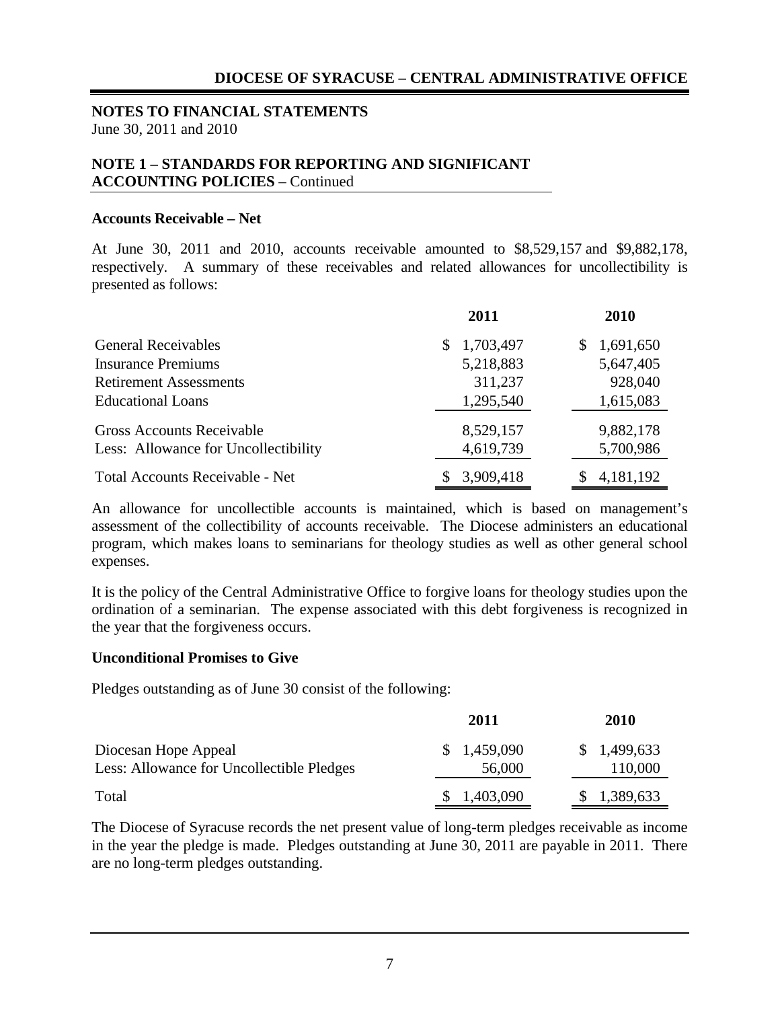#### **NOTES TO FINANCIAL STATEMENTS** June 30, 2011 and 2010

## **NOTE 1 – STANDARDS FOR REPORTING AND SIGNIFICANT ACCOUNTING POLICIES** – Continued

#### **Accounts Receivable – Net**

At June 30, 2011 and 2010, accounts receivable amounted to \$8,529,157 and \$9,882,178, respectively. A summary of these receivables and related allowances for uncollectibility is presented as follows:

|                                        | 2011            | 2010            |
|----------------------------------------|-----------------|-----------------|
| <b>General Receivables</b>             | 1,703,497<br>S. | 1,691,650<br>\$ |
| <b>Insurance Premiums</b>              | 5,218,883       | 5,647,405       |
| <b>Retirement Assessments</b>          | 311,237         | 928,040         |
| <b>Educational Loans</b>               | 1,295,540       | 1,615,083       |
| <b>Gross Accounts Receivable</b>       | 8,529,157       | 9,882,178       |
| Less: Allowance for Uncollectibility   | 4,619,739       | 5,700,986       |
| <b>Total Accounts Receivable - Net</b> | 3,909,418       | 4, 181, 192     |

An allowance for uncollectible accounts is maintained, which is based on management's assessment of the collectibility of accounts receivable. The Diocese administers an educational program, which makes loans to seminarians for theology studies as well as other general school expenses.

It is the policy of the Central Administrative Office to forgive loans for theology studies upon the ordination of a seminarian. The expense associated with this debt forgiveness is recognized in the year that the forgiveness occurs.

#### **Unconditional Promises to Give**

Pledges outstanding as of June 30 consist of the following:

|                                           | 2011        | 2010        |
|-------------------------------------------|-------------|-------------|
| Diocesan Hope Appeal                      | \$1,459,090 | \$1,499,633 |
| Less: Allowance for Uncollectible Pledges | 56,000      | 110,000     |
| Total                                     | \$1,403,090 | \$1,389,633 |

The Diocese of Syracuse records the net present value of long-term pledges receivable as income in the year the pledge is made. Pledges outstanding at June 30, 2011 are payable in 2011. There are no long-term pledges outstanding.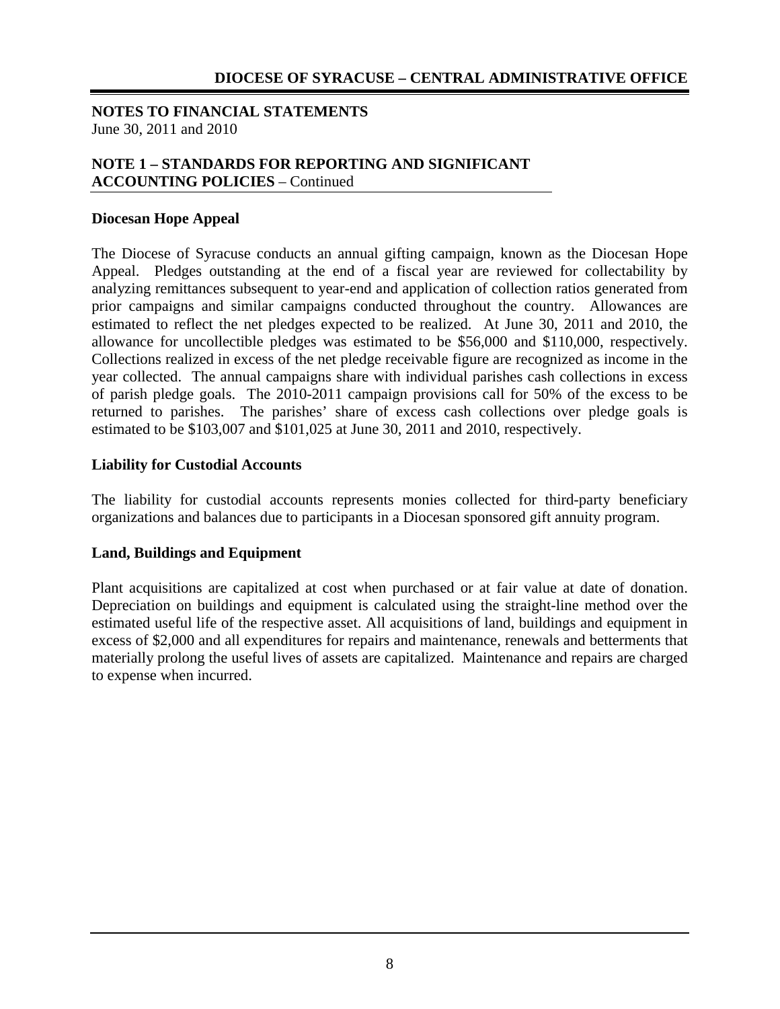### **NOTES TO FINANCIAL STATEMENTS** June 30, 2011 and 2010

## **NOTE 1 – STANDARDS FOR REPORTING AND SIGNIFICANT ACCOUNTING POLICIES** – Continued

#### **Diocesan Hope Appeal**

The Diocese of Syracuse conducts an annual gifting campaign, known as the Diocesan Hope Appeal. Pledges outstanding at the end of a fiscal year are reviewed for collectability by analyzing remittances subsequent to year-end and application of collection ratios generated from prior campaigns and similar campaigns conducted throughout the country. Allowances are estimated to reflect the net pledges expected to be realized. At June 30, 2011 and 2010, the allowance for uncollectible pledges was estimated to be \$56,000 and \$110,000, respectively. Collections realized in excess of the net pledge receivable figure are recognized as income in the year collected. The annual campaigns share with individual parishes cash collections in excess of parish pledge goals. The 2010-2011 campaign provisions call for 50% of the excess to be returned to parishes. The parishes' share of excess cash collections over pledge goals is estimated to be \$103,007 and \$101,025 at June 30, 2011 and 2010, respectively.

#### **Liability for Custodial Accounts**

The liability for custodial accounts represents monies collected for third-party beneficiary organizations and balances due to participants in a Diocesan sponsored gift annuity program.

#### **Land, Buildings and Equipment**

Plant acquisitions are capitalized at cost when purchased or at fair value at date of donation. Depreciation on buildings and equipment is calculated using the straight-line method over the estimated useful life of the respective asset. All acquisitions of land, buildings and equipment in excess of \$2,000 and all expenditures for repairs and maintenance, renewals and betterments that materially prolong the useful lives of assets are capitalized. Maintenance and repairs are charged to expense when incurred.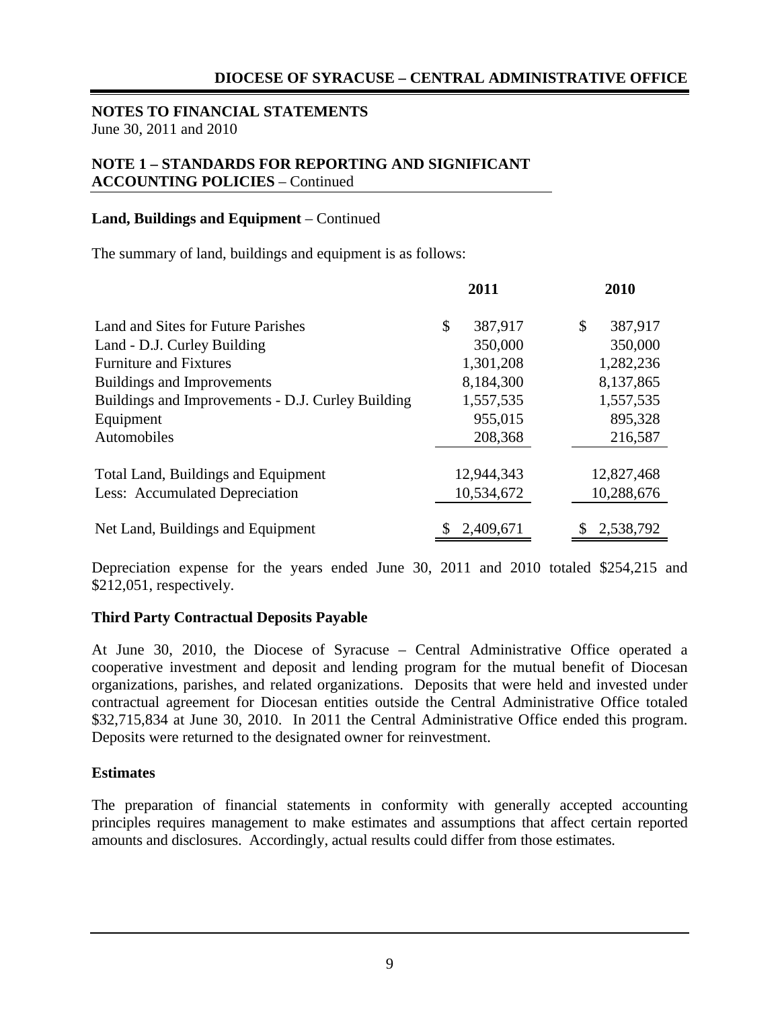#### **NOTES TO FINANCIAL STATEMENTS** June 30, 2011 and 2010

## **NOTE 1 – STANDARDS FOR REPORTING AND SIGNIFICANT ACCOUNTING POLICIES** – Continued

#### **Land, Buildings and Equipment** – Continued

The summary of land, buildings and equipment is as follows:

|                                                   | 2011          | 2010          |  |
|---------------------------------------------------|---------------|---------------|--|
| Land and Sites for Future Parishes                | \$<br>387,917 | \$<br>387,917 |  |
| Land - D.J. Curley Building                       | 350,000       | 350,000       |  |
| <b>Furniture and Fixtures</b>                     | 1,301,208     | 1,282,236     |  |
| Buildings and Improvements                        | 8,184,300     | 8,137,865     |  |
| Buildings and Improvements - D.J. Curley Building | 1,557,535     | 1,557,535     |  |
| Equipment                                         | 955,015       | 895,328       |  |
| Automobiles                                       | 208,368       | 216,587       |  |
|                                                   |               |               |  |
| Total Land, Buildings and Equipment               | 12,944,343    | 12,827,468    |  |
| Less: Accumulated Depreciation                    | 10,534,672    | 10,288,676    |  |
| Net Land, Buildings and Equipment                 | 2,409,671     | 2,538,792     |  |

Depreciation expense for the years ended June 30, 2011 and 2010 totaled \$254,215 and \$212,051, respectively.

#### **Third Party Contractual Deposits Payable**

At June 30, 2010, the Diocese of Syracuse – Central Administrative Office operated a cooperative investment and deposit and lending program for the mutual benefit of Diocesan organizations, parishes, and related organizations. Deposits that were held and invested under contractual agreement for Diocesan entities outside the Central Administrative Office totaled \$32,715,834 at June 30, 2010. In 2011 the Central Administrative Office ended this program. Deposits were returned to the designated owner for reinvestment.

#### **Estimates**

The preparation of financial statements in conformity with generally accepted accounting principles requires management to make estimates and assumptions that affect certain reported amounts and disclosures. Accordingly, actual results could differ from those estimates.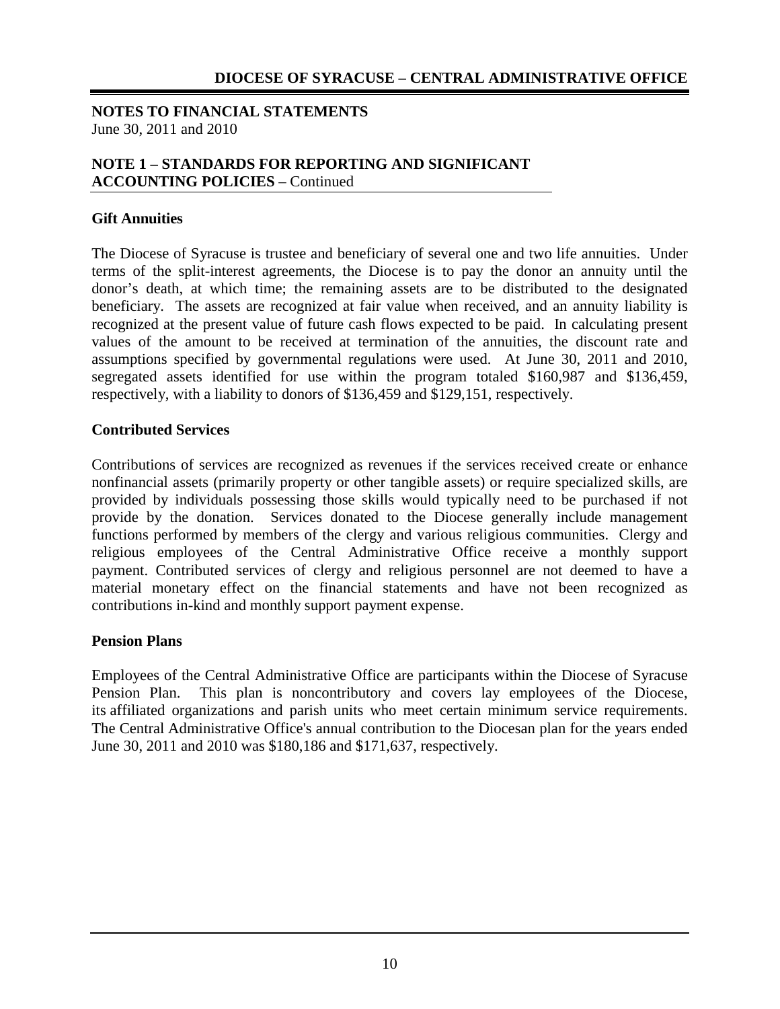#### **NOTES TO FINANCIAL STATEMENTS** June 30, 2011 and 2010

## **NOTE 1 – STANDARDS FOR REPORTING AND SIGNIFICANT ACCOUNTING POLICIES** – Continued

#### **Gift Annuities**

The Diocese of Syracuse is trustee and beneficiary of several one and two life annuities. Under terms of the split-interest agreements, the Diocese is to pay the donor an annuity until the donor's death, at which time; the remaining assets are to be distributed to the designated beneficiary. The assets are recognized at fair value when received, and an annuity liability is recognized at the present value of future cash flows expected to be paid. In calculating present values of the amount to be received at termination of the annuities, the discount rate and assumptions specified by governmental regulations were used. At June 30, 2011 and 2010, segregated assets identified for use within the program totaled \$160,987 and \$136,459, respectively, with a liability to donors of \$136,459 and \$129,151, respectively.

#### **Contributed Services**

Contributions of services are recognized as revenues if the services received create or enhance nonfinancial assets (primarily property or other tangible assets) or require specialized skills, are provided by individuals possessing those skills would typically need to be purchased if not provide by the donation. Services donated to the Diocese generally include management functions performed by members of the clergy and various religious communities. Clergy and religious employees of the Central Administrative Office receive a monthly support payment. Contributed services of clergy and religious personnel are not deemed to have a material monetary effect on the financial statements and have not been recognized as contributions in-kind and monthly support payment expense.

#### **Pension Plans**

Employees of the Central Administrative Office are participants within the Diocese of Syracuse Pension Plan. This plan is noncontributory and covers lay employees of the Diocese, its affiliated organizations and parish units who meet certain minimum service requirements. The Central Administrative Office's annual contribution to the Diocesan plan for the years ended June 30, 2011 and 2010 was \$180,186 and \$171,637, respectively.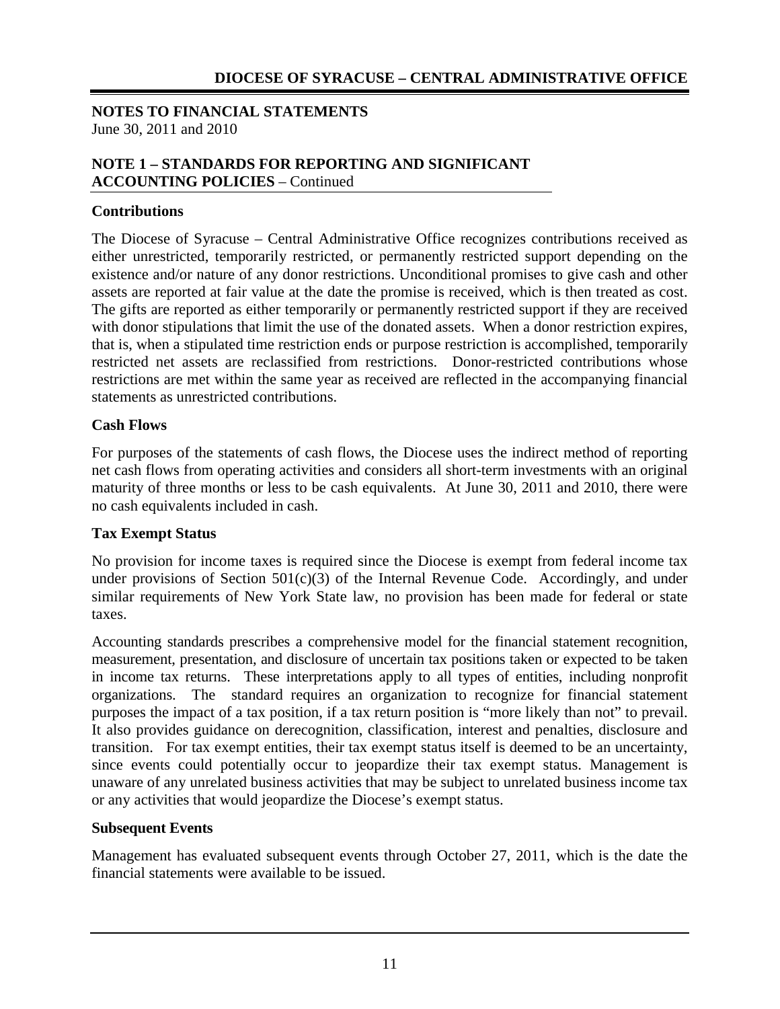## **NOTES TO FINANCIAL STATEMENTS** June 30, 2011 and 2010

## **NOTE 1 – STANDARDS FOR REPORTING AND SIGNIFICANT ACCOUNTING POLICIES** – Continued

## **Contributions**

The Diocese of Syracuse – Central Administrative Office recognizes contributions received as either unrestricted, temporarily restricted, or permanently restricted support depending on the existence and/or nature of any donor restrictions. Unconditional promises to give cash and other assets are reported at fair value at the date the promise is received, which is then treated as cost. The gifts are reported as either temporarily or permanently restricted support if they are received with donor stipulations that limit the use of the donated assets. When a donor restriction expires, that is, when a stipulated time restriction ends or purpose restriction is accomplished, temporarily restricted net assets are reclassified from restrictions. Donor-restricted contributions whose restrictions are met within the same year as received are reflected in the accompanying financial statements as unrestricted contributions.

## **Cash Flows**

For purposes of the statements of cash flows, the Diocese uses the indirect method of reporting net cash flows from operating activities and considers all short-term investments with an original maturity of three months or less to be cash equivalents. At June 30, 2011 and 2010, there were no cash equivalents included in cash.

## **Tax Exempt Status**

No provision for income taxes is required since the Diocese is exempt from federal income tax under provisions of Section  $501(c)(3)$  of the Internal Revenue Code. Accordingly, and under similar requirements of New York State law, no provision has been made for federal or state taxes.

Accounting standards prescribes a comprehensive model for the financial statement recognition, measurement, presentation, and disclosure of uncertain tax positions taken or expected to be taken in income tax returns. These interpretations apply to all types of entities, including nonprofit organizations. The standard requires an organization to recognize for financial statement purposes the impact of a tax position, if a tax return position is "more likely than not" to prevail. It also provides guidance on derecognition, classification, interest and penalties, disclosure and transition. For tax exempt entities, their tax exempt status itself is deemed to be an uncertainty, since events could potentially occur to jeopardize their tax exempt status. Management is unaware of any unrelated business activities that may be subject to unrelated business income tax or any activities that would jeopardize the Diocese's exempt status.

## **Subsequent Events**

Management has evaluated subsequent events through October 27, 2011, which is the date the financial statements were available to be issued.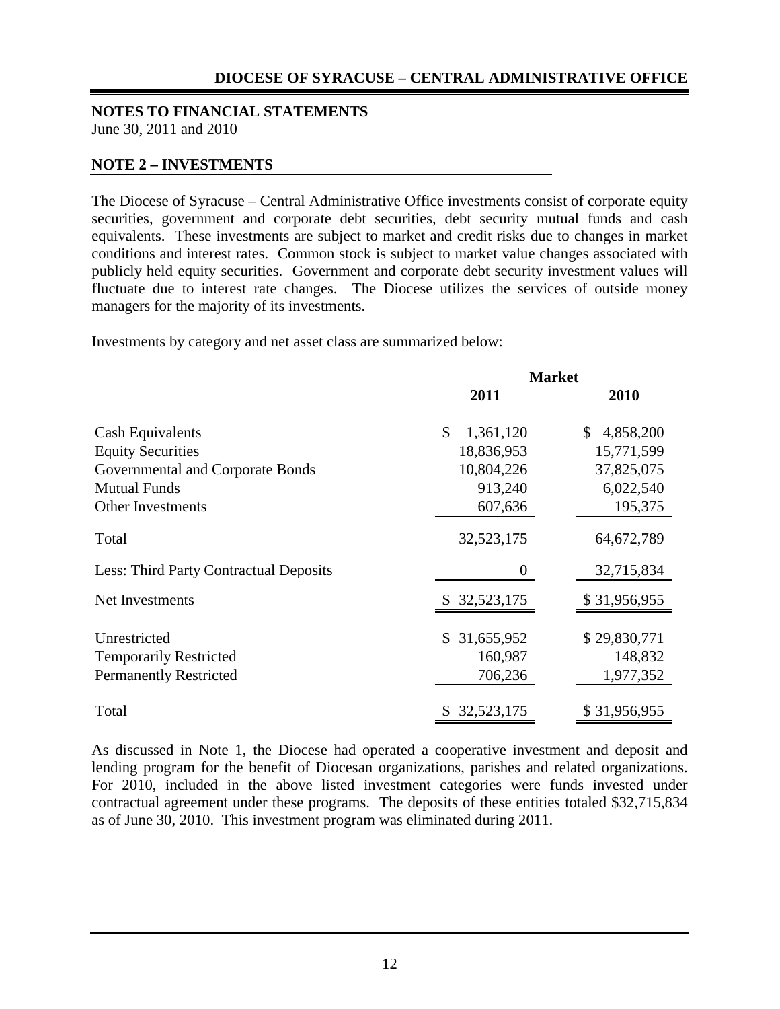#### **NOTES TO FINANCIAL STATEMENTS** June 30, 2011 and 2010

#### **NOTE 2 – INVESTMENTS**

The Diocese of Syracuse – Central Administrative Office investments consist of corporate equity securities, government and corporate debt securities, debt security mutual funds and cash equivalents. These investments are subject to market and credit risks due to changes in market conditions and interest rates. Common stock is subject to market value changes associated with publicly held equity securities. Government and corporate debt security investment values will fluctuate due to interest rate changes. The Diocese utilizes the services of outside money managers for the majority of its investments.

Investments by category and net asset class are summarized below:

|                                        | <b>Market</b>   |                 |  |
|----------------------------------------|-----------------|-----------------|--|
|                                        | 2011            | 2010            |  |
| Cash Equivalents                       | \$<br>1,361,120 | 4,858,200<br>\$ |  |
| <b>Equity Securities</b>               | 18,836,953      | 15,771,599      |  |
| Governmental and Corporate Bonds       | 10,804,226      | 37,825,075      |  |
| <b>Mutual Funds</b>                    | 913,240         | 6,022,540       |  |
| Other Investments                      | 607,636         | 195,375         |  |
| Total                                  | 32,523,175      | 64,672,789      |  |
| Less: Third Party Contractual Deposits | 0               | 32,715,834      |  |
| Net Investments                        | \$32,523,175    | \$31,956,955    |  |
| Unrestricted                           | \$ 31,655,952   | \$29,830,771    |  |
| <b>Temporarily Restricted</b>          | 160,987         | 148,832         |  |
| <b>Permanently Restricted</b>          | 706,236         | 1,977,352       |  |
| Total                                  | \$32,523,175    | \$31,956,955    |  |

As discussed in Note 1, the Diocese had operated a cooperative investment and deposit and lending program for the benefit of Diocesan organizations, parishes and related organizations. For 2010, included in the above listed investment categories were funds invested under contractual agreement under these programs. The deposits of these entities totaled \$32,715,834 as of June 30, 2010. This investment program was eliminated during 2011.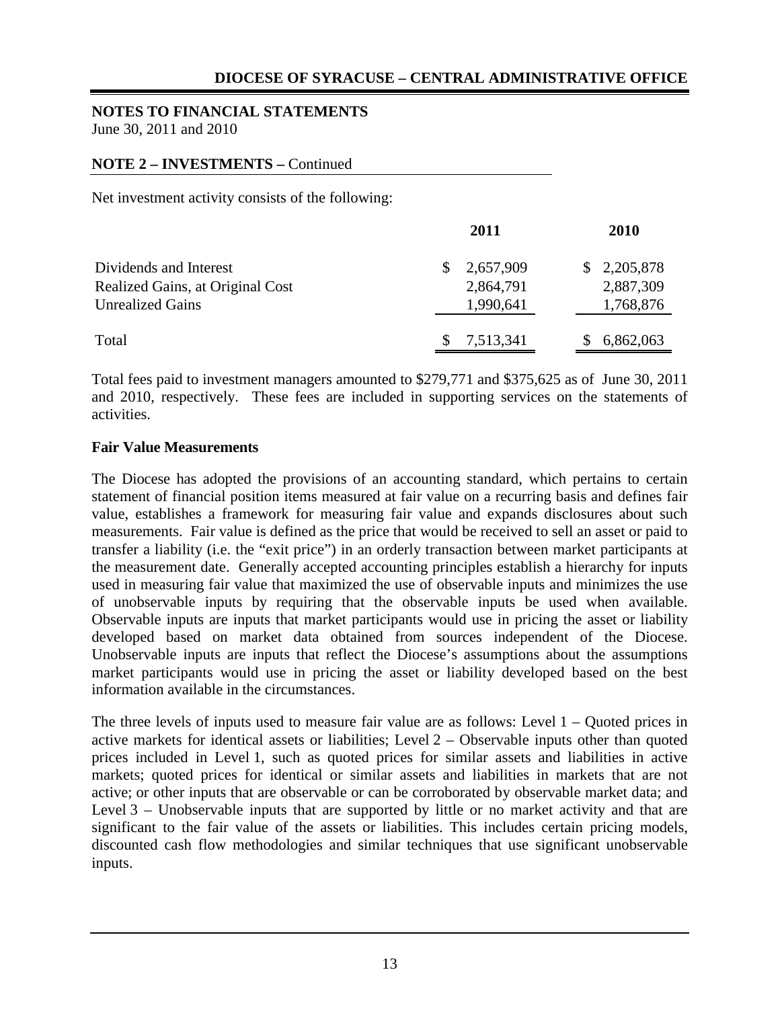# **NOTES TO FINANCIAL STATEMENTS**

June 30, 2011 and 2010

## **NOTE 2 – INVESTMENTS –** Continued

Net investment activity consists of the following:

|                                  | 2011      | 2010        |
|----------------------------------|-----------|-------------|
| Dividends and Interest           | 2,657,909 | \$2,205,878 |
| Realized Gains, at Original Cost | 2,864,791 | 2,887,309   |
| <b>Unrealized Gains</b>          | 1,990,641 | 1,768,876   |
| Total                            | 7,513,341 | 6,862,063   |

Total fees paid to investment managers amounted to \$279,771 and \$375,625 as of June 30, 2011 and 2010, respectively. These fees are included in supporting services on the statements of activities.

#### **Fair Value Measurements**

The Diocese has adopted the provisions of an accounting standard, which pertains to certain statement of financial position items measured at fair value on a recurring basis and defines fair value, establishes a framework for measuring fair value and expands disclosures about such measurements. Fair value is defined as the price that would be received to sell an asset or paid to transfer a liability (i.e. the "exit price") in an orderly transaction between market participants at the measurement date. Generally accepted accounting principles establish a hierarchy for inputs used in measuring fair value that maximized the use of observable inputs and minimizes the use of unobservable inputs by requiring that the observable inputs be used when available. Observable inputs are inputs that market participants would use in pricing the asset or liability developed based on market data obtained from sources independent of the Diocese. Unobservable inputs are inputs that reflect the Diocese's assumptions about the assumptions market participants would use in pricing the asset or liability developed based on the best information available in the circumstances.

The three levels of inputs used to measure fair value are as follows: Level 1 – Quoted prices in active markets for identical assets or liabilities; Level 2 – Observable inputs other than quoted prices included in Level 1, such as quoted prices for similar assets and liabilities in active markets; quoted prices for identical or similar assets and liabilities in markets that are not active; or other inputs that are observable or can be corroborated by observable market data; and Level 3 – Unobservable inputs that are supported by little or no market activity and that are significant to the fair value of the assets or liabilities. This includes certain pricing models, discounted cash flow methodologies and similar techniques that use significant unobservable inputs.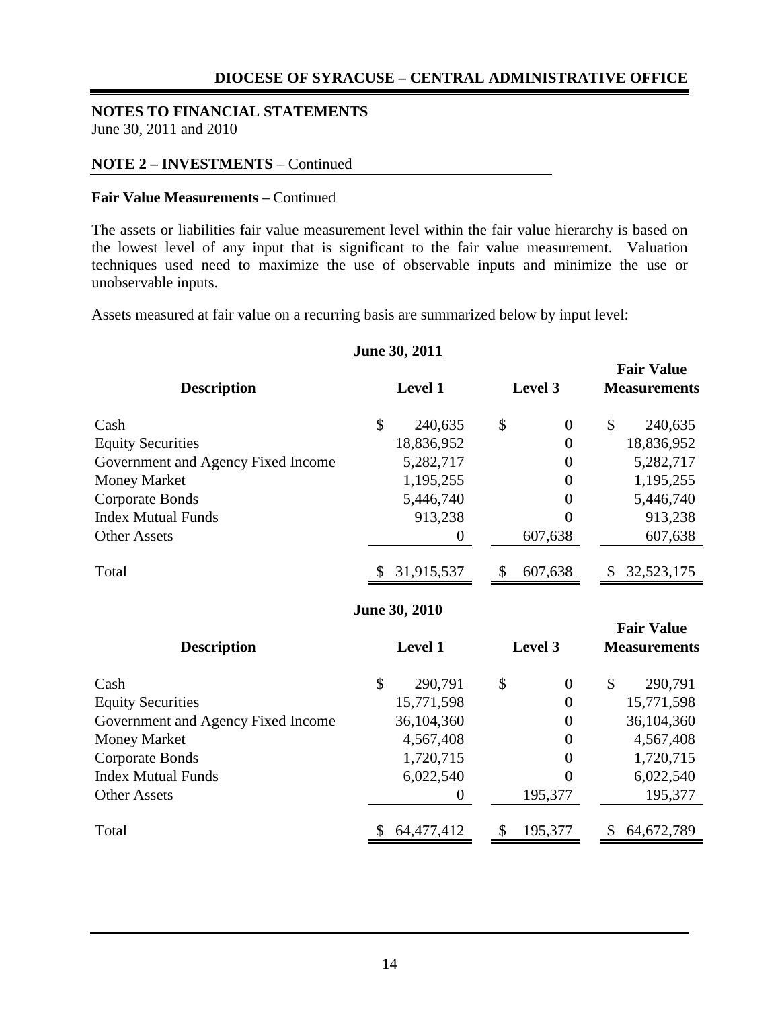# **NOTES TO FINANCIAL STATEMENTS**

June 30, 2011 and 2010

#### **NOTE 2 – INVESTMENTS** – Continued

#### **Fair Value Measurements** – Continued

The assets or liabilities fair value measurement level within the fair value hierarchy is based on the lowest level of any input that is significant to the fair value measurement. Valuation techniques used need to maximize the use of observable inputs and minimize the use or unobservable inputs.

Assets measured at fair value on a recurring basis are summarized below by input level:

# **Fair Value Description Level 1 Level 3 Measurements** Cash \$ 240,635 \$ 0 \$ 240,635 Equity Securities 18,836,952 0 18,836,952 Government and Agency Fixed Income 5,282,717 0 5,282,717 Money Market 1,195,255 0 1,195,255 Corporate Bonds 5,446,740 0 5,446,740 Index Mutual Funds 913,238 0 913,238 Other Assets 607,638 607,638 Total \$ 31,915,537 \$ 607,638 \$ 32,523,175 **Fair Value Description Level 1 Level 3 Measurements** Cash \$ 290,791 \$ 0 \$ 290,791 Equity Securities 15,771,598 0 15,771,598 Government and Agency Fixed Income 36,104,360 0 36,104,360 Money Market 4,567,408 0 4,567,408 Corporate Bonds 1,720,715 0 1,720,715 Index Mutual Funds 6,022,540 0 6,022,540 Other Assets 0 195,377 195,377 195,377 Total \$ 64,477,412 \$ 195,377 \$ 64,672,789 **June 30, 2011 June 30, 2010**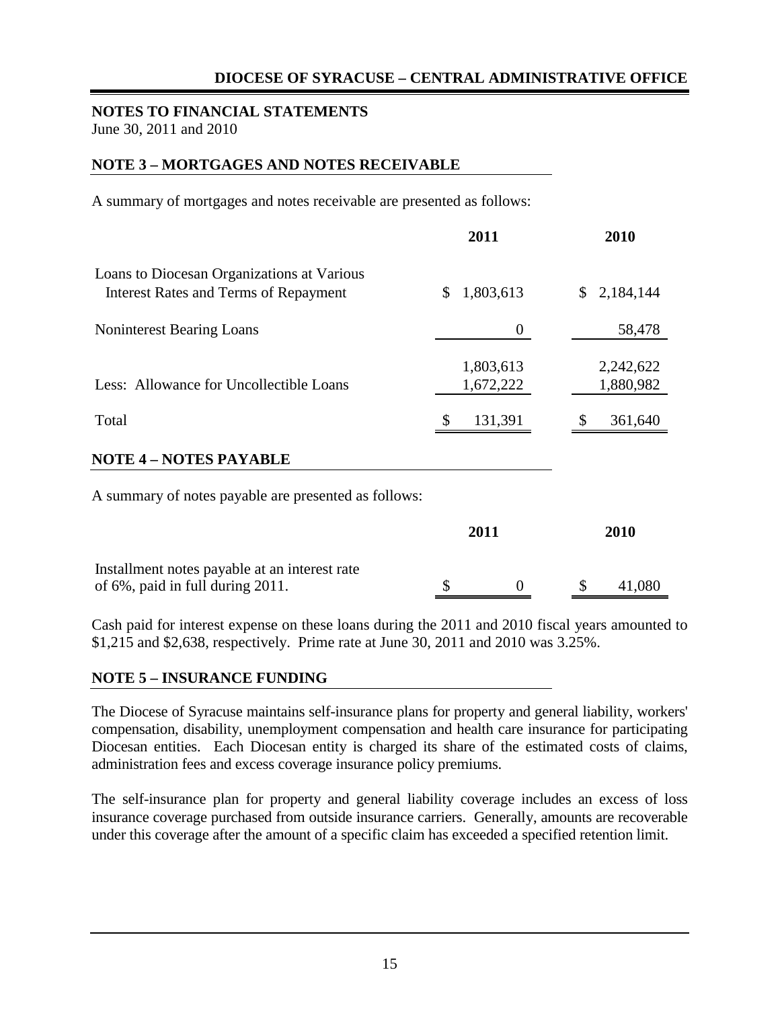#### **NOTES TO FINANCIAL STATEMENTS** June 30, 2011 and 2010

## **NOTE 3 – MORTGAGES AND NOTES RECEIVABLE**

A summary of mortgages and notes receivable are presented as follows:

|                                                                                            | 2011                   | 2010                   |  |
|--------------------------------------------------------------------------------------------|------------------------|------------------------|--|
| Loans to Diocesan Organizations at Various<br><b>Interest Rates and Terms of Repayment</b> | \$<br>1,803,613        | 2,184,144<br>\$        |  |
| <b>Noninterest Bearing Loans</b>                                                           | $\Omega$               | 58,478                 |  |
| Less: Allowance for Uncollectible Loans                                                    | 1,803,613<br>1,672,222 | 2,242,622<br>1,880,982 |  |
| Total                                                                                      | S<br>131,391           | S<br>361,640           |  |
| <b>NOTE 4 - NOTES PAYABLE</b>                                                              |                        |                        |  |

A summary of notes payable are presented as follows:

|                                                                                   | 2011 |  | 2010 |        |
|-----------------------------------------------------------------------------------|------|--|------|--------|
| Installment notes payable at an interest rate<br>of 6%, paid in full during 2011. |      |  |      | 41,080 |

Cash paid for interest expense on these loans during the 2011 and 2010 fiscal years amounted to \$1,215 and \$2,638, respectively. Prime rate at June 30, 2011 and 2010 was 3.25%.

#### **NOTE 5 – INSURANCE FUNDING**

The Diocese of Syracuse maintains self-insurance plans for property and general liability, workers' compensation, disability, unemployment compensation and health care insurance for participating Diocesan entities. Each Diocesan entity is charged its share of the estimated costs of claims, administration fees and excess coverage insurance policy premiums.

The self-insurance plan for property and general liability coverage includes an excess of loss insurance coverage purchased from outside insurance carriers. Generally, amounts are recoverable under this coverage after the amount of a specific claim has exceeded a specified retention limit.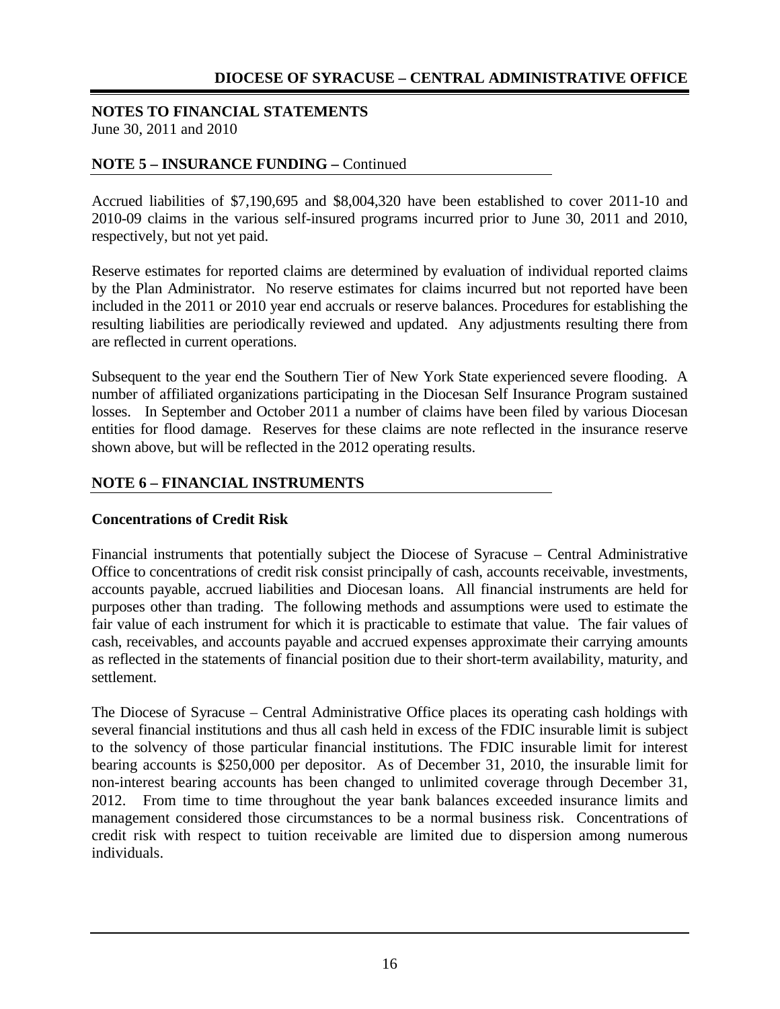#### **NOTES TO FINANCIAL STATEMENTS** June 30, 2011 and 2010

## **NOTE 5 – INSURANCE FUNDING –** Continued

Accrued liabilities of \$7,190,695 and \$8,004,320 have been established to cover 2011-10 and 2010-09 claims in the various self-insured programs incurred prior to June 30, 2011 and 2010, respectively, but not yet paid.

Reserve estimates for reported claims are determined by evaluation of individual reported claims by the Plan Administrator. No reserve estimates for claims incurred but not reported have been included in the 2011 or 2010 year end accruals or reserve balances. Procedures for establishing the resulting liabilities are periodically reviewed and updated. Any adjustments resulting there from are reflected in current operations.

Subsequent to the year end the Southern Tier of New York State experienced severe flooding. A number of affiliated organizations participating in the Diocesan Self Insurance Program sustained losses. In September and October 2011 a number of claims have been filed by various Diocesan entities for flood damage. Reserves for these claims are note reflected in the insurance reserve shown above, but will be reflected in the 2012 operating results.

## **NOTE 6 – FINANCIAL INSTRUMENTS**

#### **Concentrations of Credit Risk**

Financial instruments that potentially subject the Diocese of Syracuse – Central Administrative Office to concentrations of credit risk consist principally of cash, accounts receivable, investments, accounts payable, accrued liabilities and Diocesan loans. All financial instruments are held for purposes other than trading. The following methods and assumptions were used to estimate the fair value of each instrument for which it is practicable to estimate that value. The fair values of cash, receivables, and accounts payable and accrued expenses approximate their carrying amounts as reflected in the statements of financial position due to their short-term availability, maturity, and settlement.

The Diocese of Syracuse – Central Administrative Office places its operating cash holdings with several financial institutions and thus all cash held in excess of the FDIC insurable limit is subject to the solvency of those particular financial institutions. The FDIC insurable limit for interest bearing accounts is \$250,000 per depositor. As of December 31, 2010, the insurable limit for non-interest bearing accounts has been changed to unlimited coverage through December 31, 2012. From time to time throughout the year bank balances exceeded insurance limits and management considered those circumstances to be a normal business risk. Concentrations of credit risk with respect to tuition receivable are limited due to dispersion among numerous individuals.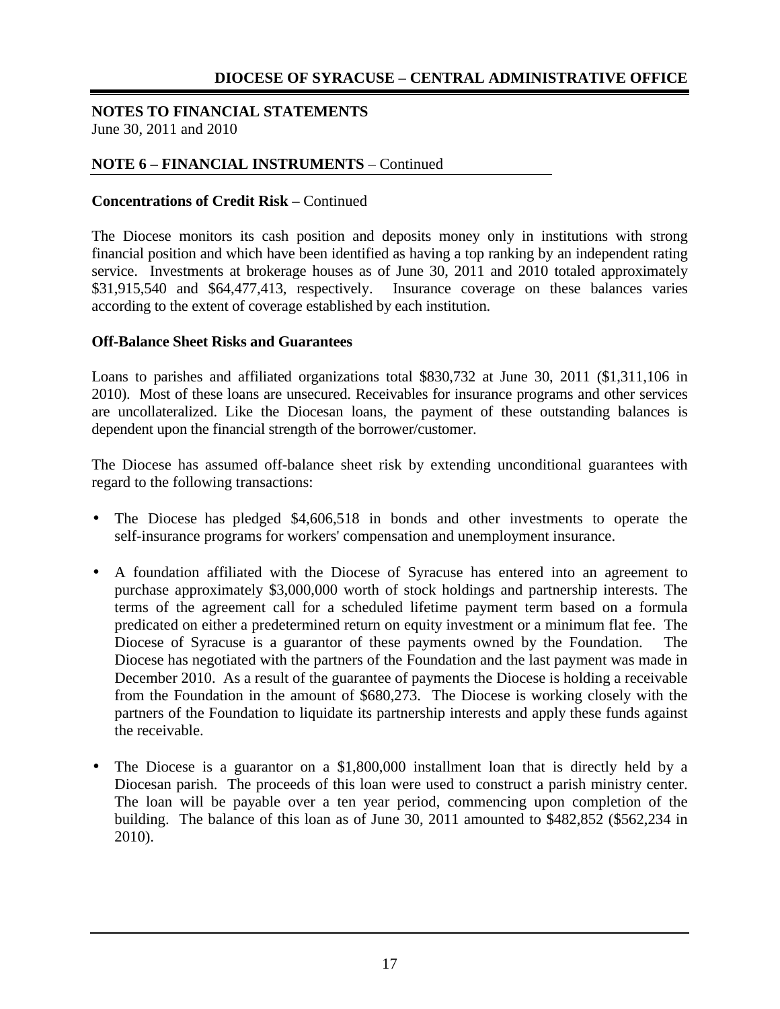#### **NOTES TO FINANCIAL STATEMENTS** June 30, 2011 and 2010

## **NOTE 6 – FINANCIAL INSTRUMENTS** – Continued

## **Concentrations of Credit Risk –** Continued

The Diocese monitors its cash position and deposits money only in institutions with strong financial position and which have been identified as having a top ranking by an independent rating service. Investments at brokerage houses as of June 30, 2011 and 2010 totaled approximately \$31,915,540 and \$64,477,413, respectively. Insurance coverage on these balances varies according to the extent of coverage established by each institution.

## **Off-Balance Sheet Risks and Guarantees**

Loans to parishes and affiliated organizations total \$830,732 at June 30, 2011 (\$1,311,106 in 2010). Most of these loans are unsecured. Receivables for insurance programs and other services are uncollateralized. Like the Diocesan loans, the payment of these outstanding balances is dependent upon the financial strength of the borrower/customer.

The Diocese has assumed off-balance sheet risk by extending unconditional guarantees with regard to the following transactions:

- The Diocese has pledged \$4,606,518 in bonds and other investments to operate the self-insurance programs for workers' compensation and unemployment insurance.
- A foundation affiliated with the Diocese of Syracuse has entered into an agreement to purchase approximately \$3,000,000 worth of stock holdings and partnership interests. The terms of the agreement call for a scheduled lifetime payment term based on a formula predicated on either a predetermined return on equity investment or a minimum flat fee. The Diocese of Syracuse is a guarantor of these payments owned by the Foundation. Diocese has negotiated with the partners of the Foundation and the last payment was made in December 2010. As a result of the guarantee of payments the Diocese is holding a receivable from the Foundation in the amount of \$680,273. The Diocese is working closely with the partners of the Foundation to liquidate its partnership interests and apply these funds against the receivable.
- The Diocese is a guarantor on a \$1,800,000 installment loan that is directly held by a Diocesan parish. The proceeds of this loan were used to construct a parish ministry center. The loan will be payable over a ten year period, commencing upon completion of the building. The balance of this loan as of June 30, 2011 amounted to \$482,852 (\$562,234 in 2010).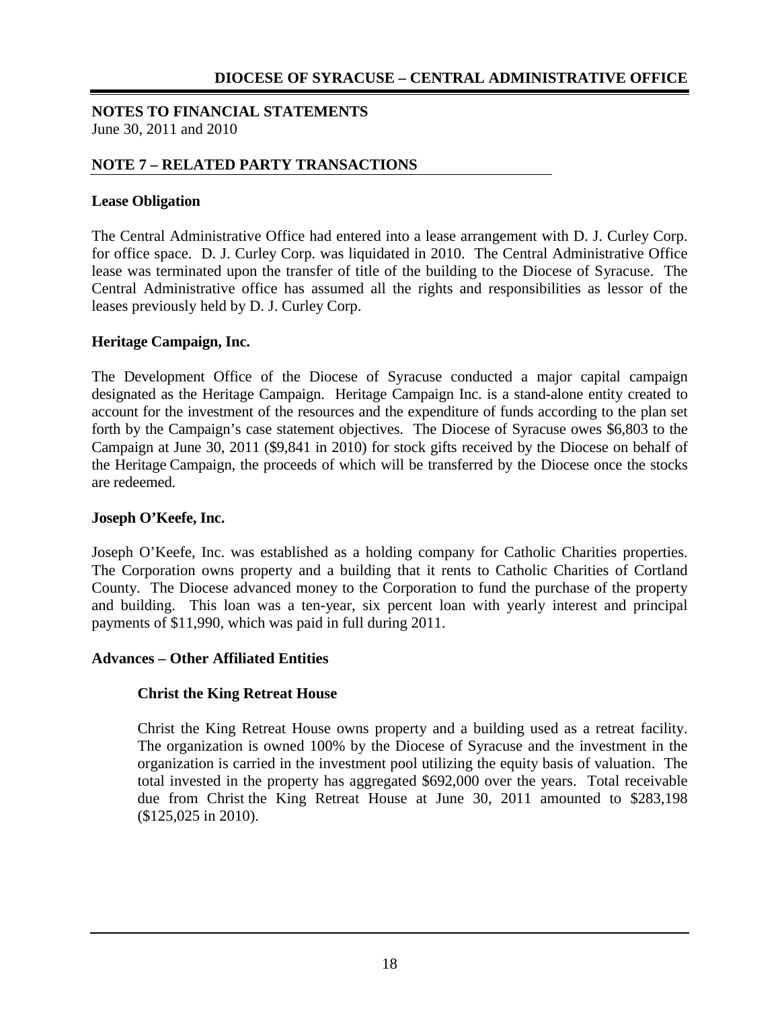#### **NOTES TO FINANCIAL STATEMENTS** June 30, 2011 and 2010

## **NOTE 7 – RELATED PARTY TRANSACTIONS**

### **Lease Obligation**

The Central Administrative Office had entered into a lease arrangement with D. J. Curley Corp. for office space. D. J. Curley Corp. was liquidated in 2010. The Central Administrative Office lease was terminated upon the transfer of title of the building to the Diocese of Syracuse. The Central Administrative office has assumed all the rights and responsibilities as lessor of the leases previously held by D. J. Curley Corp.

#### **Heritage Campaign, Inc.**

The Development Office of the Diocese of Syracuse conducted a major capital campaign designated as the Heritage Campaign. Heritage Campaign Inc. is a stand-alone entity created to account for the investment of the resources and the expenditure of funds according to the plan set forth by the Campaign's case statement objectives. The Diocese of Syracuse owes \$6,803 to the Campaign at June 30, 2011 (\$9,841 in 2010) for stock gifts received by the Diocese on behalf of the Heritage Campaign, the proceeds of which will be transferred by the Diocese once the stocks are redeemed.

#### **Joseph O'Keefe, Inc.**

Joseph O'Keefe, Inc. was established as a holding company for Catholic Charities properties. The Corporation owns property and a building that it rents to Catholic Charities of Cortland County. The Diocese advanced money to the Corporation to fund the purchase of the property and building. This loan was a ten-year, six percent loan with yearly interest and principal payments of \$11,990, which was paid in full during 2011.

#### **Advances – Other Affiliated Entities**

## **Christ the King Retreat House**

Christ the King Retreat House owns property and a building used as a retreat facility. The organization is owned 100% by the Diocese of Syracuse and the investment in the organization is carried in the investment pool utilizing the equity basis of valuation. The total invested in the property has aggregated \$692,000 over the years. Total receivable due from Christ the King Retreat House at June 30, 2011 amounted to \$283,198 (\$125,025 in 2010).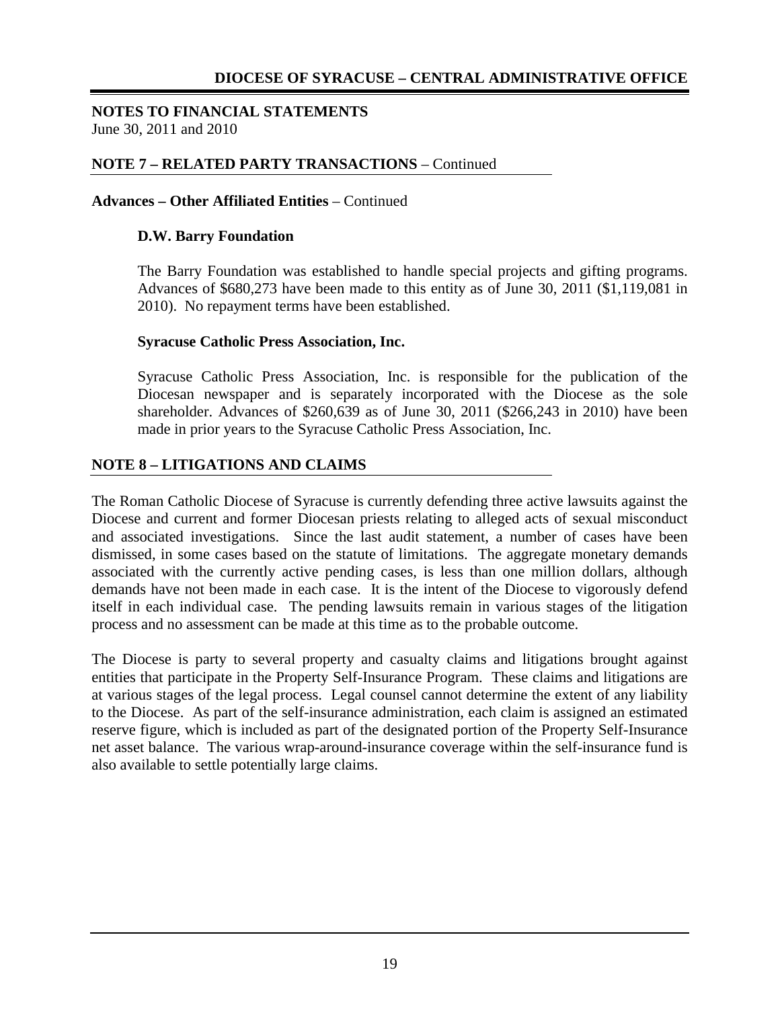#### **NOTES TO FINANCIAL STATEMENTS** June 30, 2011 and 2010

### **NOTE 7 – RELATED PARTY TRANSACTIONS** – Continued

#### **Advances – Other Affiliated Entities** – Continued

#### **D.W. Barry Foundation**

The Barry Foundation was established to handle special projects and gifting programs. Advances of \$680,273 have been made to this entity as of June 30, 2011 (\$1,119,081 in 2010). No repayment terms have been established.

#### **Syracuse Catholic Press Association, Inc.**

Syracuse Catholic Press Association, Inc. is responsible for the publication of the Diocesan newspaper and is separately incorporated with the Diocese as the sole shareholder. Advances of \$260,639 as of June 30, 2011 (\$266,243 in 2010) have been made in prior years to the Syracuse Catholic Press Association, Inc.

#### **NOTE 8 – LITIGATIONS AND CLAIMS**

The Roman Catholic Diocese of Syracuse is currently defending three active lawsuits against the Diocese and current and former Diocesan priests relating to alleged acts of sexual misconduct and associated investigations. Since the last audit statement, a number of cases have been dismissed, in some cases based on the statute of limitations. The aggregate monetary demands associated with the currently active pending cases, is less than one million dollars, although demands have not been made in each case. It is the intent of the Diocese to vigorously defend itself in each individual case. The pending lawsuits remain in various stages of the litigation process and no assessment can be made at this time as to the probable outcome.

The Diocese is party to several property and casualty claims and litigations brought against entities that participate in the Property Self-Insurance Program. These claims and litigations are at various stages of the legal process. Legal counsel cannot determine the extent of any liability to the Diocese. As part of the self-insurance administration, each claim is assigned an estimated reserve figure, which is included as part of the designated portion of the Property Self-Insurance net asset balance. The various wrap-around-insurance coverage within the self-insurance fund is also available to settle potentially large claims.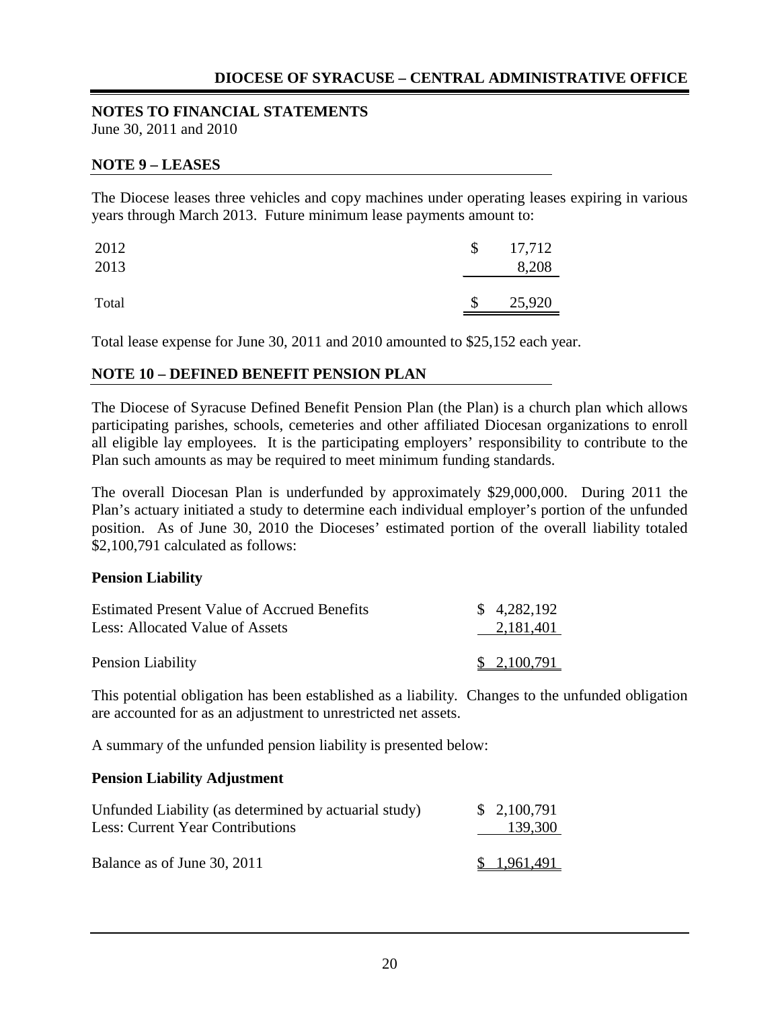# **NOTES TO FINANCIAL STATEMENTS**

June 30, 2011 and 2010

### **NOTE 9 – LEASES**

The Diocese leases three vehicles and copy machines under operating leases expiring in various years through March 2013. Future minimum lease payments amount to:

| 2012<br>2013 | $\mathcal{S}$ | 17,712<br>8,208 |
|--------------|---------------|-----------------|
| Total        | \$            | 25,920          |

Total lease expense for June 30, 2011 and 2010 amounted to \$25,152 each year.

## **NOTE 10 – DEFINED BENEFIT PENSION PLAN**

The Diocese of Syracuse Defined Benefit Pension Plan (the Plan) is a church plan which allows participating parishes, schools, cemeteries and other affiliated Diocesan organizations to enroll all eligible lay employees. It is the participating employers' responsibility to contribute to the Plan such amounts as may be required to meet minimum funding standards.

The overall Diocesan Plan is underfunded by approximately \$29,000,000. During 2011 the Plan's actuary initiated a study to determine each individual employer's portion of the unfunded position. As of June 30, 2010 the Dioceses' estimated portion of the overall liability totaled \$2,100,791 calculated as follows:

#### **Pension Liability**

| <b>Estimated Present Value of Accrued Benefits</b> | \$4,282,192 |
|----------------------------------------------------|-------------|
| Less: Allocated Value of Assets                    | 2,181,401   |
|                                                    |             |
| Pension Liability                                  | \$2,100,791 |

This potential obligation has been established as a liability. Changes to the unfunded obligation are accounted for as an adjustment to unrestricted net assets.

A summary of the unfunded pension liability is presented below:

#### **Pension Liability Adjustment**

| Unfunded Liability (as determined by actuarial study)<br><b>Less: Current Year Contributions</b> | \$2,100,791<br>139,300 |
|--------------------------------------------------------------------------------------------------|------------------------|
| Balance as of June 30, 2011                                                                      | \$1,961,491            |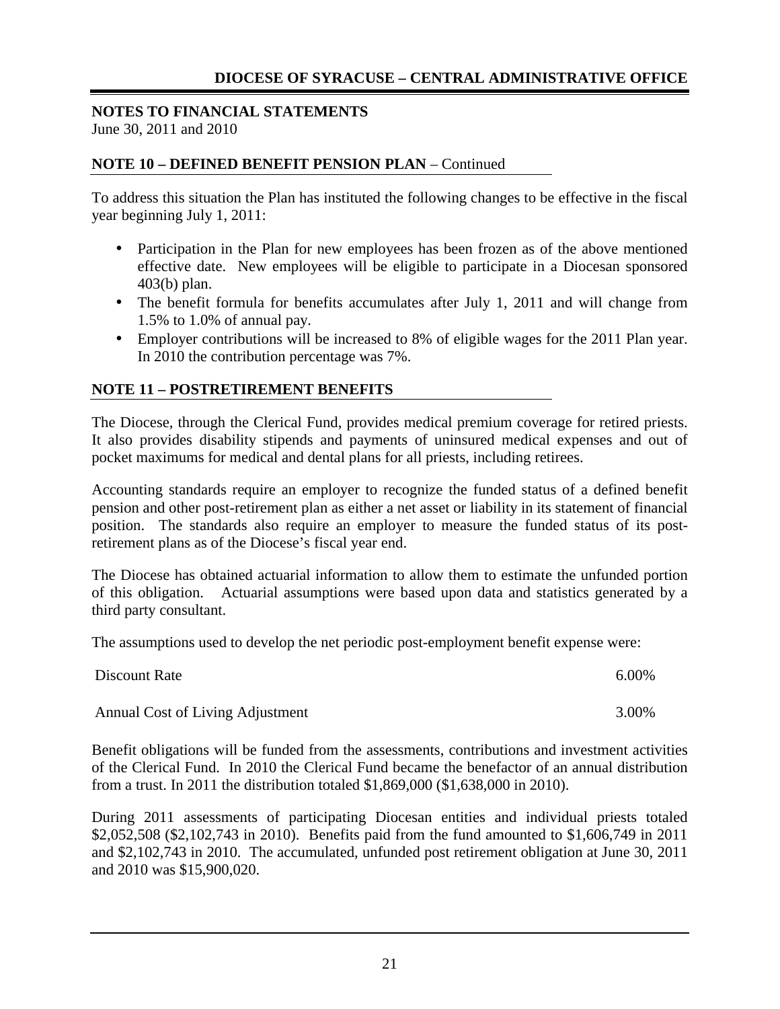#### **NOTES TO FINANCIAL STATEMENTS** June 30, 2011 and 2010

## **NOTE 10 – DEFINED BENEFIT PENSION PLAN** – Continued

To address this situation the Plan has instituted the following changes to be effective in the fiscal year beginning July 1, 2011:

- Participation in the Plan for new employees has been frozen as of the above mentioned effective date. New employees will be eligible to participate in a Diocesan sponsored 403(b) plan.
- The benefit formula for benefits accumulates after July 1, 2011 and will change from 1.5% to 1.0% of annual pay.
- Employer contributions will be increased to 8% of eligible wages for the 2011 Plan year. In 2010 the contribution percentage was 7%.

## **NOTE 11 – POSTRETIREMENT BENEFITS**

The Diocese, through the Clerical Fund, provides medical premium coverage for retired priests. It also provides disability stipends and payments of uninsured medical expenses and out of pocket maximums for medical and dental plans for all priests, including retirees.

Accounting standards require an employer to recognize the funded status of a defined benefit pension and other post-retirement plan as either a net asset or liability in its statement of financial position. The standards also require an employer to measure the funded status of its postretirement plans as of the Diocese's fiscal year end.

The Diocese has obtained actuarial information to allow them to estimate the unfunded portion of this obligation. Actuarial assumptions were based upon data and statistics generated by a third party consultant.

The assumptions used to develop the net periodic post-employment benefit expense were:

| Discount Rate                    | 6.00% |
|----------------------------------|-------|
| Annual Cost of Living Adjustment | 3.00% |

Benefit obligations will be funded from the assessments, contributions and investment activities of the Clerical Fund. In 2010 the Clerical Fund became the benefactor of an annual distribution from a trust. In 2011 the distribution totaled \$1,869,000 (\$1,638,000 in 2010).

During 2011 assessments of participating Diocesan entities and individual priests totaled \$2,052,508 (\$2,102,743 in 2010). Benefits paid from the fund amounted to \$1,606,749 in 2011 and \$2,102,743 in 2010. The accumulated, unfunded post retirement obligation at June 30, 2011 and 2010 was \$15,900,020.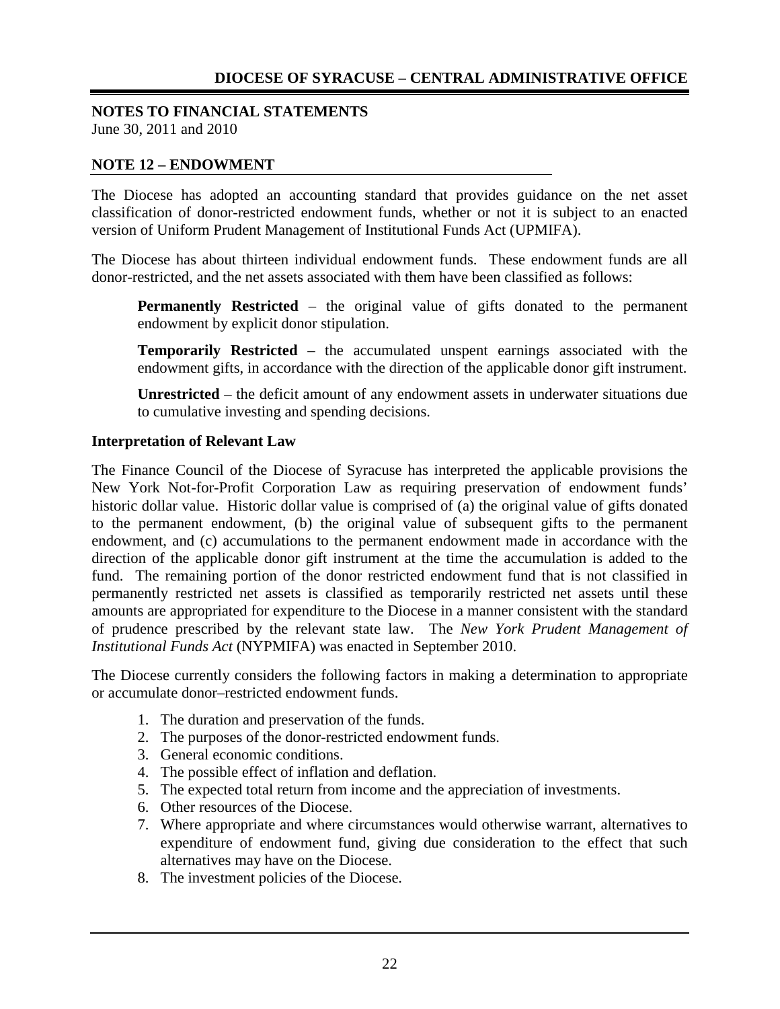#### **NOTES TO FINANCIAL STATEMENTS** June 30, 2011 and 2010

#### **NOTE 12 – ENDOWMENT**

The Diocese has adopted an accounting standard that provides guidance on the net asset classification of donor-restricted endowment funds, whether or not it is subject to an enacted version of Uniform Prudent Management of Institutional Funds Act (UPMIFA).

The Diocese has about thirteen individual endowment funds. These endowment funds are all donor-restricted, and the net assets associated with them have been classified as follows:

**Permanently Restricted** – the original value of gifts donated to the permanent endowment by explicit donor stipulation.

**Temporarily Restricted** – the accumulated unspent earnings associated with the endowment gifts, in accordance with the direction of the applicable donor gift instrument.

**Unrestricted** – the deficit amount of any endowment assets in underwater situations due to cumulative investing and spending decisions.

#### **Interpretation of Relevant Law**

The Finance Council of the Diocese of Syracuse has interpreted the applicable provisions the New York Not-for-Profit Corporation Law as requiring preservation of endowment funds' historic dollar value. Historic dollar value is comprised of (a) the original value of gifts donated to the permanent endowment, (b) the original value of subsequent gifts to the permanent endowment, and (c) accumulations to the permanent endowment made in accordance with the direction of the applicable donor gift instrument at the time the accumulation is added to the fund. The remaining portion of the donor restricted endowment fund that is not classified in permanently restricted net assets is classified as temporarily restricted net assets until these amounts are appropriated for expenditure to the Diocese in a manner consistent with the standard of prudence prescribed by the relevant state law. The *New York Prudent Management of Institutional Funds Act* (NYPMIFA) was enacted in September 2010.

The Diocese currently considers the following factors in making a determination to appropriate or accumulate donor–restricted endowment funds.

- 1. The duration and preservation of the funds.
- 2. The purposes of the donor-restricted endowment funds.
- 3. General economic conditions.
- 4. The possible effect of inflation and deflation.
- 5. The expected total return from income and the appreciation of investments.
- 6. Other resources of the Diocese.
- 7. Where appropriate and where circumstances would otherwise warrant, alternatives to expenditure of endowment fund, giving due consideration to the effect that such alternatives may have on the Diocese.
- 8. The investment policies of the Diocese.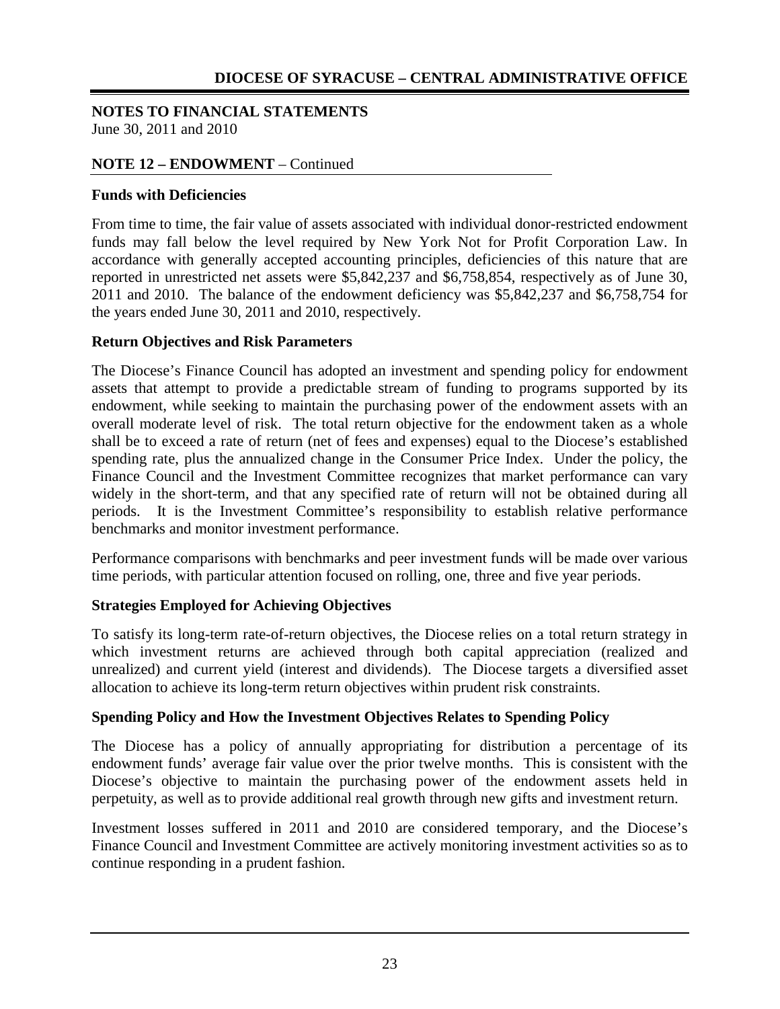#### **NOTES TO FINANCIAL STATEMENTS** June 30, 2011 and 2010

## **NOTE 12 – ENDOWMENT** – Continued

### **Funds with Deficiencies**

From time to time, the fair value of assets associated with individual donor-restricted endowment funds may fall below the level required by New York Not for Profit Corporation Law. In accordance with generally accepted accounting principles, deficiencies of this nature that are reported in unrestricted net assets were \$5,842,237 and \$6,758,854, respectively as of June 30, 2011 and 2010. The balance of the endowment deficiency was \$5,842,237 and \$6,758,754 for the years ended June 30, 2011 and 2010, respectively.

## **Return Objectives and Risk Parameters**

The Diocese's Finance Council has adopted an investment and spending policy for endowment assets that attempt to provide a predictable stream of funding to programs supported by its endowment, while seeking to maintain the purchasing power of the endowment assets with an overall moderate level of risk. The total return objective for the endowment taken as a whole shall be to exceed a rate of return (net of fees and expenses) equal to the Diocese's established spending rate, plus the annualized change in the Consumer Price Index. Under the policy, the Finance Council and the Investment Committee recognizes that market performance can vary widely in the short-term, and that any specified rate of return will not be obtained during all periods. It is the Investment Committee's responsibility to establish relative performance benchmarks and monitor investment performance.

Performance comparisons with benchmarks and peer investment funds will be made over various time periods, with particular attention focused on rolling, one, three and five year periods.

## **Strategies Employed for Achieving Objectives**

To satisfy its long-term rate-of-return objectives, the Diocese relies on a total return strategy in which investment returns are achieved through both capital appreciation (realized and unrealized) and current yield (interest and dividends). The Diocese targets a diversified asset allocation to achieve its long-term return objectives within prudent risk constraints.

#### **Spending Policy and How the Investment Objectives Relates to Spending Policy**

The Diocese has a policy of annually appropriating for distribution a percentage of its endowment funds' average fair value over the prior twelve months. This is consistent with the Diocese's objective to maintain the purchasing power of the endowment assets held in perpetuity, as well as to provide additional real growth through new gifts and investment return.

Investment losses suffered in 2011 and 2010 are considered temporary, and the Diocese's Finance Council and Investment Committee are actively monitoring investment activities so as to continue responding in a prudent fashion.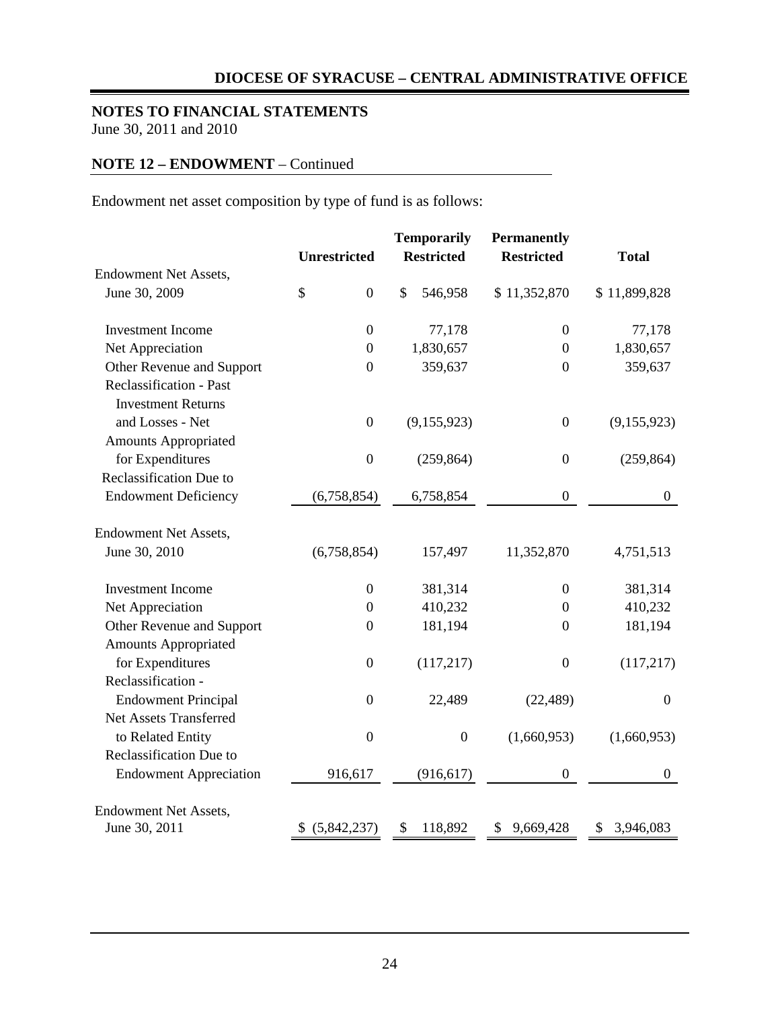## **NOTES TO FINANCIAL STATEMENTS**

June 30, 2011 and 2010

## **NOTE 12 – ENDOWMENT** – Continued

Endowment net asset composition by type of fund is as follows:

|                               |                        | <b>Temporarily</b> | <b>Permanently</b> |                  |  |
|-------------------------------|------------------------|--------------------|--------------------|------------------|--|
|                               | <b>Unrestricted</b>    | <b>Restricted</b>  | <b>Restricted</b>  | <b>Total</b>     |  |
| Endowment Net Assets,         |                        |                    |                    |                  |  |
| June 30, 2009                 | \$<br>$\boldsymbol{0}$ | \$<br>546,958      | \$11,352,870       | \$11,899,828     |  |
| <b>Investment Income</b>      | $\boldsymbol{0}$       | 77,178             | $\boldsymbol{0}$   | 77,178           |  |
| Net Appreciation              | $\boldsymbol{0}$       | 1,830,657          | $\boldsymbol{0}$   | 1,830,657        |  |
| Other Revenue and Support     | $\boldsymbol{0}$       | 359,637            | $\boldsymbol{0}$   | 359,637          |  |
| Reclassification - Past       |                        |                    |                    |                  |  |
| <b>Investment Returns</b>     |                        |                    |                    |                  |  |
| and Losses - Net              | $\boldsymbol{0}$       | (9,155,923)        | $\boldsymbol{0}$   | (9,155,923)      |  |
| <b>Amounts Appropriated</b>   |                        |                    |                    |                  |  |
| for Expenditures              | $\boldsymbol{0}$       | (259, 864)         | $\boldsymbol{0}$   | (259, 864)       |  |
| Reclassification Due to       |                        |                    |                    |                  |  |
| <b>Endowment Deficiency</b>   | (6,758,854)            | 6,758,854          | $\boldsymbol{0}$   | $\boldsymbol{0}$ |  |
| <b>Endowment Net Assets,</b>  |                        |                    |                    |                  |  |
| June 30, 2010                 | (6,758,854)            | 157,497            | 11,352,870         | 4,751,513        |  |
| <b>Investment Income</b>      | $\boldsymbol{0}$       | 381,314            | $\boldsymbol{0}$   | 381,314          |  |
| Net Appreciation              | $\boldsymbol{0}$       | 410,232            | $\boldsymbol{0}$   | 410,232          |  |
| Other Revenue and Support     | $\boldsymbol{0}$       | 181,194            | $\boldsymbol{0}$   | 181,194          |  |
| <b>Amounts Appropriated</b>   |                        |                    |                    |                  |  |
| for Expenditures              | $\boldsymbol{0}$       | (117,217)          | $\boldsymbol{0}$   | (117,217)        |  |
| Reclassification -            |                        |                    |                    |                  |  |
| <b>Endowment Principal</b>    | $\boldsymbol{0}$       | 22,489             | (22, 489)          | $\boldsymbol{0}$ |  |
| <b>Net Assets Transferred</b> |                        |                    |                    |                  |  |
| to Related Entity             | $\boldsymbol{0}$       | $\boldsymbol{0}$   | (1,660,953)        | (1,660,953)      |  |
| Reclassification Due to       |                        |                    |                    |                  |  |
| <b>Endowment Appreciation</b> | 916,617                | (916, 617)         | $\boldsymbol{0}$   | $\boldsymbol{0}$ |  |
| <b>Endowment Net Assets,</b>  |                        |                    |                    |                  |  |
| June 30, 2011                 | (5,842,237)<br>S.      | 118,892<br>\$      | \$9,669,428        | \$3,946,083      |  |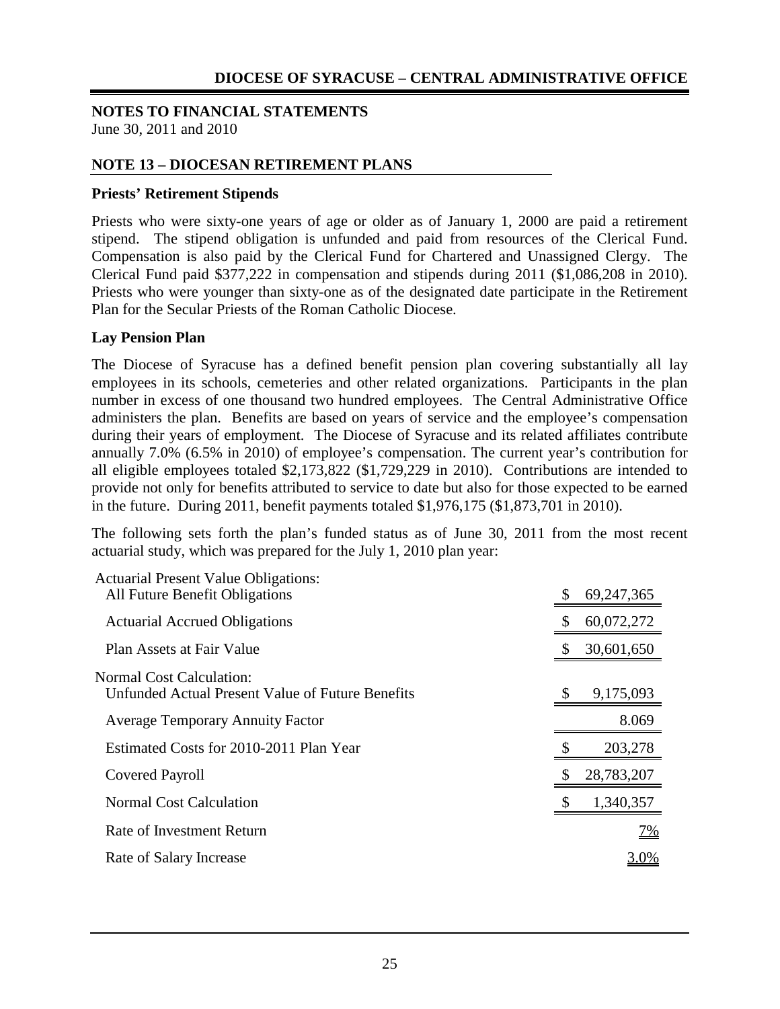#### **NOTES TO FINANCIAL STATEMENTS** June 30, 2011 and 2010

## **NOTE 13 – DIOCESAN RETIREMENT PLANS**

#### **Priests' Retirement Stipends**

Priests who were sixty-one years of age or older as of January 1, 2000 are paid a retirement stipend. The stipend obligation is unfunded and paid from resources of the Clerical Fund. Compensation is also paid by the Clerical Fund for Chartered and Unassigned Clergy. The Clerical Fund paid \$377,222 in compensation and stipends during 2011 (\$1,086,208 in 2010). Priests who were younger than sixty-one as of the designated date participate in the Retirement Plan for the Secular Priests of the Roman Catholic Diocese.

#### **Lay Pension Plan**

The Diocese of Syracuse has a defined benefit pension plan covering substantially all lay employees in its schools, cemeteries and other related organizations. Participants in the plan number in excess of one thousand two hundred employees. The Central Administrative Office administers the plan. Benefits are based on years of service and the employee's compensation during their years of employment. The Diocese of Syracuse and its related affiliates contribute annually 7.0% (6.5% in 2010) of employee's compensation. The current year's contribution for all eligible employees totaled \$2,173,822 (\$1,729,229 in 2010). Contributions are intended to provide not only for benefits attributed to service to date but also for those expected to be earned in the future. During 2011, benefit payments totaled \$1,976,175 (\$1,873,701 in 2010).

The following sets forth the plan's funded status as of June 30, 2011 from the most recent actuarial study, which was prepared for the July 1, 2010 plan year:

| <b>Actuarial Present Value Obligations:</b><br>All Future Benefit Obligations | \$ | 69, 247, 365 |
|-------------------------------------------------------------------------------|----|--------------|
| <b>Actuarial Accrued Obligations</b>                                          |    | 60,072,272   |
| Plan Assets at Fair Value                                                     |    | 30,601,650   |
| Normal Cost Calculation:<br>Unfunded Actual Present Value of Future Benefits  | S  | 9,175,093    |
| <b>Average Temporary Annuity Factor</b>                                       |    | 8.069        |
| Estimated Costs for 2010-2011 Plan Year                                       |    | 203,278      |
| Covered Payroll                                                               |    | 28,783,207   |
| <b>Normal Cost Calculation</b>                                                |    | 1,340,357    |
| Rate of Investment Return                                                     |    | <u>7%</u>    |
| Rate of Salary Increase                                                       |    | <u>3.0%</u>  |
|                                                                               |    |              |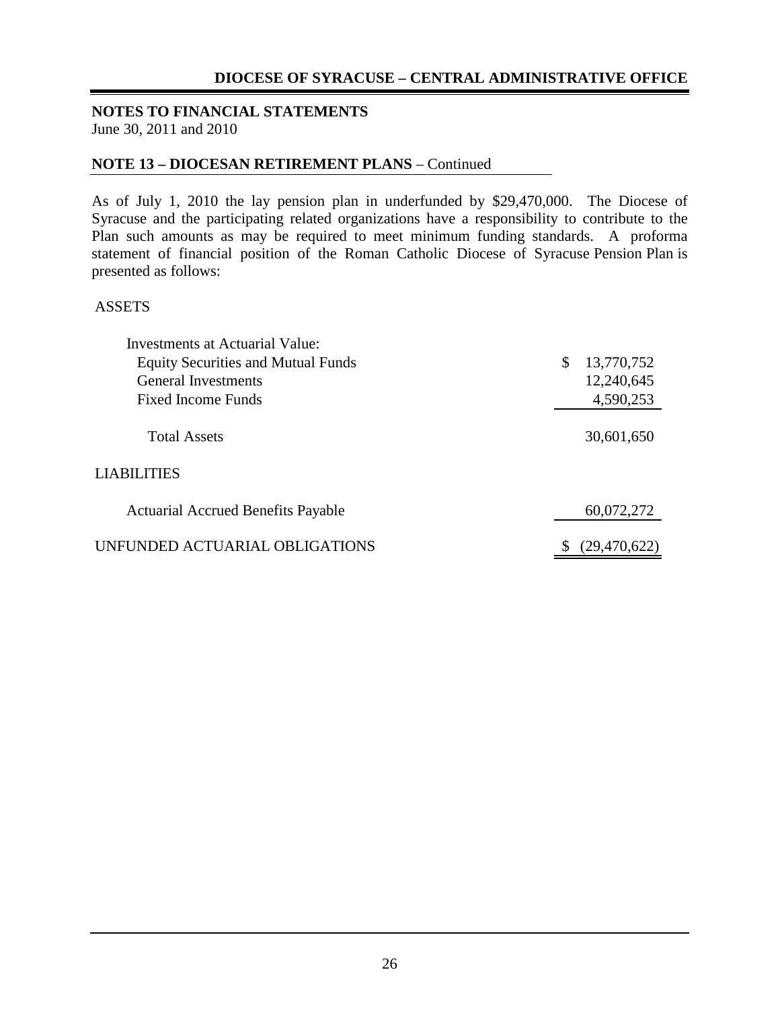# **NOTES TO FINANCIAL STATEMENTS**

June 30, 2011 and 2010

### **NOTE 13 – DIOCESAN RETIREMENT PLANS** – Continued

As of July 1, 2010 the lay pension plan in underfunded by \$29,470,000. The Diocese of Syracuse and the participating related organizations have a responsibility to contribute to the Plan such amounts as may be required to meet minimum funding standards. A proforma statement of financial position of the Roman Catholic Diocese of Syracuse Pension Plan is presented as follows:

#### ASSETS

| <b>Investments at Actuarial Value:</b>    |                  |
|-------------------------------------------|------------------|
| <b>Equity Securities and Mutual Funds</b> | \$<br>13,770,752 |
| <b>General Investments</b>                | 12,240,645       |
| Fixed Income Funds                        | 4,590,253        |
| <b>Total Assets</b>                       | 30,601,650       |
| <b>LIABILITIES</b>                        |                  |
| <b>Actuarial Accrued Benefits Payable</b> | 60,072,272       |
| UNFUNDED ACTUARIAL OBLIGATIONS            | (29, 470, 622)   |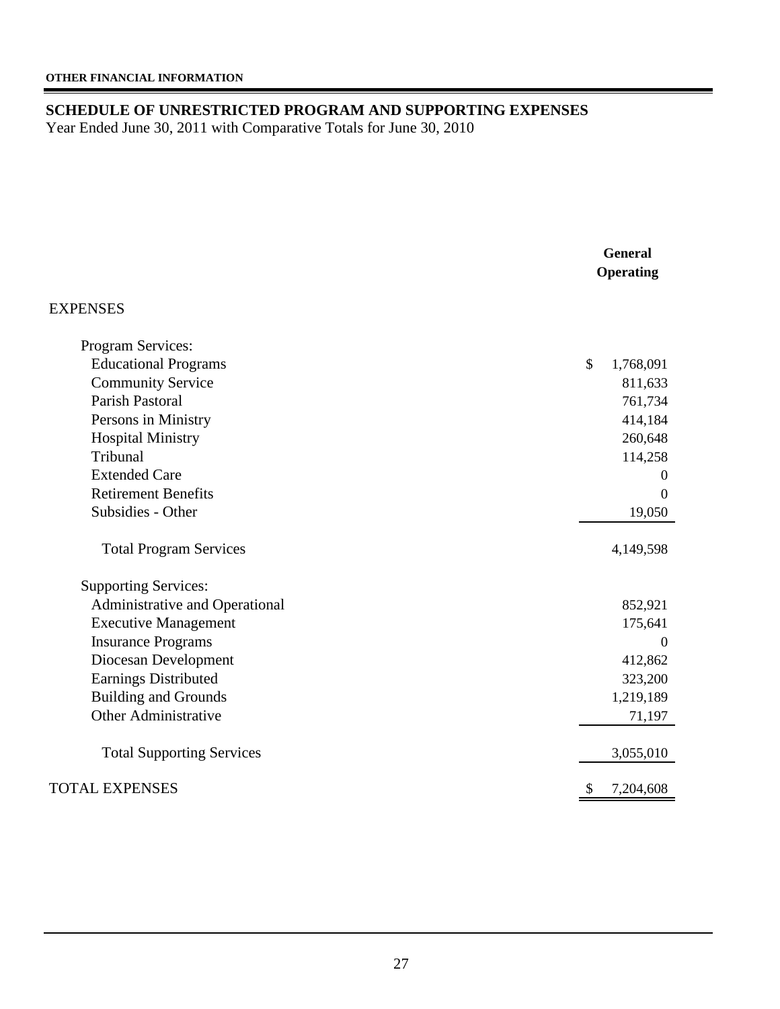## **SCHEDULE OF UNRESTRICTED PROGRAM AND SUPPORTING EXPENSES**

Year Ended June 30, 2011 with Comparative Totals for June 30, 2010

|                                  | <b>General</b><br>Operating |
|----------------------------------|-----------------------------|
| EXPENSES                         |                             |
| Program Services:                |                             |
| <b>Educational Programs</b>      | \$<br>1,768,091             |
| <b>Community Service</b>         | 811,633                     |
| <b>Parish Pastoral</b>           | 761,734                     |
| Persons in Ministry              | 414,184                     |
| <b>Hospital Ministry</b>         | 260,648                     |
| Tribunal                         | 114,258                     |
| <b>Extended Care</b>             | $\theta$                    |
| <b>Retirement Benefits</b>       | $\boldsymbol{0}$            |
| Subsidies - Other                | 19,050                      |
| <b>Total Program Services</b>    | 4,149,598                   |
| <b>Supporting Services:</b>      |                             |
| Administrative and Operational   | 852,921                     |
| <b>Executive Management</b>      | 175,641                     |
| <b>Insurance Programs</b>        | $\Omega$                    |
| Diocesan Development             | 412,862                     |
| Earnings Distributed             | 323,200                     |
| <b>Building and Grounds</b>      | 1,219,189                   |
| <b>Other Administrative</b>      | 71,197                      |
| <b>Total Supporting Services</b> | 3,055,010                   |
| <b>TOTAL EXPENSES</b>            | 7,204,608<br>\$             |
|                                  |                             |